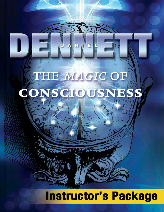## THE MAGIC OF ONSCIOUSN SS JY.

N

# **Instructor's Package**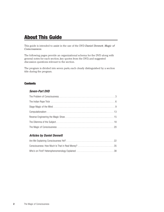## **About This Guide**

This guide is intended to assist in the use of the DVD *Daniel Dennett, Magic of Consciousness*.

The following pages provide an organizational schema for the DVD along with general notes for each section, key quotes from the DVD, and suggested discussion questions relevant to the section.

The program is divided into seven parts, each clearly distinguished by a section title during the program.

#### **Contents**

#### *Seven-Part DVD*

#### *Articles by Daniel Dennett*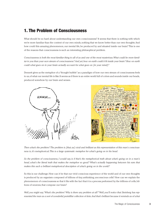## **1. The Problem of Consciousness**

What should be so hard about understanding our own consciousness? It seems that there is nothing with which we're more familiar than the content of our own minds, nothing that we know better than our own thoughts.And how could this amazing phenomenon, our mental life, be produced by and situated inside our brain? This is one of the reasons that consciousness is such an interesting philosophical problem.

*Consciousness is both the most familiar thing to all of us and one of the most mysterious.What could be more familiar to you than your own stream of consciousness? And yet,how on earth could it fit inside your brain? How on earth could what goes on in your brain actually account for what goes on [in your mind]?*

Dennett gives us the metaphor of a "thought bubble"as a paradigm of how our own stream of consciousness feels to us,of what our mental life is like.It seems as if there is an entire world full of colors and sounds inside our heads, produced somehow by our brain and senses.



*Then what's the problem? The problem is [that,as] vivid and brilliant as this representation of this man's consciousness is,it's* metaphorical*.This is a large systematic metaphor for what's going on in his head.*

*So the problem of consciousness, I would say, is if that's the metaphorical truth about what's going on in a man's head, what's the literal truth that makes the metaphor so good? What's actually happening between his ears that makes this such a brilliant metaphorical description of what's going on in the world?*

So this is our challenge. How can it be that our vivid conscious experience of the world and of our own thoughts is produced by an organism composed of billions of tiny,unthinking,unconscious cells? How can we explain the phenomenon of consciousness so that it fits with the fact that it is a process performed by the trillions of cells,billions of neurons, that compose our brain?

Well, you might say, "What's the problem? Why is there any problem at all?" Well, you'll notice that Steinberg has rep*resented the man as a sort of wonderful,pointillist collection of dots.And that's brilliant because it reminds us of what*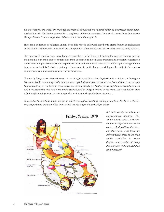we are. What you are, what I am, is a huge collection of cells, about one hundred trillion at most recent count, a hun*dred trillion cells.That's what you are. Not a single one of those is conscious. Not a single one of those knows who Georges Braque is.Not a single one of those knows what Kilimanjaro is.*

How can a collection of mindless, unconscious little robotic cells work together to create human consciousness as revealed in that beautiful metaphor? That's the problem of consciousness.And it's really quite severely puzzling.

The process of consciousness must happen somewhere in the brain, but finding the precise place or precise moment that our brain processes transform from unconscious information processing to conscious experience seems like an impossible task.There are plenty of areas of the brain that we could identify as performing different types of work, but it isn't obvious that any of these areas in particular are providing us, the subject of conscious experiences, with information of which we're conscious.

*To see why [the process of consciousness is puzzling],let's just take a few simple steps.Now this is a vivid diagram from a textbook on vision by Frisby of some years ago. And what you can see here is just a little account of what happens so that you can become conscious of this woman standing in front of you.The light bounces off the woman and is focused by the lens.And these are the eyeballs,and an image is formed on the retina.And if you look in there with the right tools,you can see the image.It's a real image.It's upside-down,of course….*

You see that the artist has drawn the lips as red. Of course, there's nothing red happening there. But there is stimula*tion happening in that area of the brain,which has the shape of a pair of lips,in fact.*



*But that's clearly not where the consciousness happens. Well, what happens next?…Well, cortical processing—here we see the cortex….And you'll see that there are other areas....And these are different visual areas in the brain which specialize to some degree….And they're all doing different parts of the job.But then what happens?*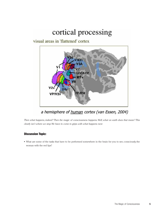## cortical processing

visual areas in 'flattened' cortex



## a hemisphere of human cortex (van Essen, 2004)

*Then what happens, indeed? Then the magic of consciousness happens.Well, what on earth does that mean? This clearly isn't where we stop.We have to come to grips with what happens next.*

#### **Discussion Topic:**

**•** What are some of the tasks that have to be performed somewhere in the brain for you to see, consciously, the woman with the red lips?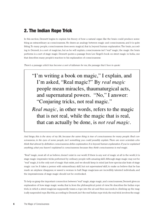## **2. The Indian Rope Trick**

In this section, Dennett begins to explain his theory of how a natural organ like the brain could produce something as extraordinary as consciousness. He draws an analogy between magic and consciousness, and it is quite fitting.To many people, consciousness does seem magical, that is, beyond human explanation.The brain, according to Dennett, is a sort of magician, but as he will explain, consciousness isn't "real" magic; the magic the brain performs is a sort of stage magic. Dennett quotes a passage from Lee Siegel's book on street magic in India, one that describes many people's reaction to his explanation of consciousness:

*There's a passage which has become a sort of talisman for me,the passage that I love to quote:*

"I'm writing a book on magic," I explain, and I'm asked, "Real magic?" By real magic people mean miracles, thaumaturgical acts, and supernatural powers. "No," I answer: "Conjuring tricks, not real magic."

*Real magic*, in other words, refers to the magic that is not real, while the magic that is real, that can actually be done, is *not real magic*.

*And bingo, this is the story of my life, because the same thing is true of consciousness for many people. Real consciousness, in the eyes of some people, isn't something you could possibly explain.There are even scientists who think that almost by definition consciousness defies explanation.It is beyond human explanation.If you've explained anything,what you haven't explained is consciousness because they think consciousness is real magic.*

"Real" magic, most all of us believe, doesn't exist in our world. If there is any sort of magic at all in the world, it is stage magic: impressive tricks performed by ordinary people with amazing skill.Although stage magic may not be "real"magic,it is the only sort of magic that exists,and we should keep in mind just how spectacular feats of stage magic can be. It takes a person with extraordinary skill, but not *supernatural* skill, to make us believe that he has made an airplane disappear, or sawed a woman in half. Stage magicians are incredibly talented individuals, and the impressiveness of stage magic should not be overlooked.

To help us grasp the important connection between "real" magic, stage magic, and consciousness, Dennett gives an explanation of how stage magic works, that is, from the philosophical point of view. He describes the Indian rope trick, in which a street magician supposedly tosses a rope into the air and then succeeds in climbing up the magically suspended rope. But this, according to Dennett, isn't the *real* Indian rope trick; the real trick involves the magi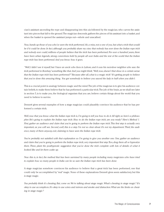cian's assistant ascending the rope and disappearing into thin air, followed by the magician, who carves the assistant into pieces that fall to the ground. The magician descends, gathers the pieces of his assistant into a basket, and when the basket is opened the assistant jumps out—whole and unscathed.

*Now,hands up those of you who've seen the trick performed.Ah,a miss,not a one of you,but what a trick that would be if it could be done.In fact,although you probably share my view that nobody has ever done the Indian rope trick and nobody ever could,millions of people believe that the trick has been performed.For over a hundred years,there have been urban legends, strong convictions held by people all over India and the rest of the world that the Indian rope trick has been performed.And you know how it goes.*

*"Well,I didn't see it myself,but I have an uncle who lives in Lahore,and it was his next-door neighbor who saw the trick performed in Bombay,"something like that.And you might think,"Well,now,doesn't that show in a certain sense that the Indian rope trick has been performed?"Because after all,what is a magic trick? It's getting people to believe that you've done this amazing thing. You got somebody to believe you sawed the lady in half when you didn't.*

This is a crucial point in analogy between magic and the mind.The job of the magician is to give his audience certain beliefs,to make them believe that he has performed a particular trick.The job of the brain,as we shall see later in section 5, is to make you, the biological organism that you are, believe certain things about the world that you need to believe to survive.

Dennett gives several examples of how a stage magician could plausibly convince his audience that he has performed a certain trick.

Well, now that you know what the Indian rope trick is, I'm going to tell you how to do it. All right, so here's a philoso*pher. He's going to explain the Indian rope trick. How to do the Indian rope trick, are you ready? Here's Method 1. First, gather an audience and claim that you're going to perform the Indian rope trick.This first step is actually very important, as you will see. Second, well, this is a step I'm not so clear about. It's not my department.Third, the audience,many of them anyway,exit,claiming to have seen the Indian rope trick.*

*You're probably not satisfied with that explanation so I'm going to give you another one. One, gather an audience* and claim that you're going to perform the Indian rope trick, very important first step. Two, drug them all or hypnotize *them.Three, plant the posthypnotic suggestion that you've done the trick complete with lots of details of what it looked like and let them wake up.*

*Now this is, in fact, the method that has been surmised by many people including many magicians who have tried to explain how so many people in India can be so sure the Indian rope trick has been done.*

A stage magician somehow convinces his audience to believe that a great trick has been performed, one that could only be accomplished by "real" magic. None of these explanations Dennett gives seem satisfactory, but this *is* stage magic.

*You probably think it's cheating. But, come on.We're talking about stage magic.What's cheating in stage magic? It's okay to use accomplices.It's okay to use wires and mirrors and smoke and distraction.What are the limits on cheating in stage magic?*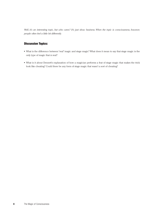*Well, it's an interesting topic, but who cares? It's just show business. When the topic is consciousness, however, people often feel a little bit differently.*

### **Discussion Topics:**

- **•** What is the difference between "real" magic and stage magic? What does it mean to say that stage magic is the only type of magic that *is* real?
- **•** What is it about Dennett's explanation of how a magician performs a feat of stage magic that makes the trick look like cheating? Could there be any form of stage magic that wasn't a sort of cheating?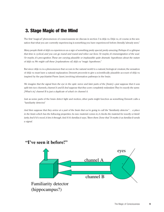## **3. Stage Magic of the Mind**

The first "magical" phenomenon of consciousness we discuss in section 3 is déjà vu. Déjà vu, of course, is the sensation that what you are currently experiencing is something you have experienced before; literally, "already seen."

*Many people think of déjà vu experiences as a sign of something pretty special,pretty amazing.Perhaps it's a glimpse that time is cyclical, and you can go round and round and relive our lives. Or maybe, it's transmigration of the soul. Or maybe, it's precognition.These are varying plausible or implausible quite dramatic hypotheses about the nature of déjà vu.We might call these [explanations of] déjà vu "magic hypotheses."*

But since déjà vu is a phenomenon that occurs in the natural world to a natural, biological creature, the sensation of déjà vu must have a natural explanation. Dennett proceeds to give a scientifically plausible account of déjà vu inspired by the psychiatrist Pierre Janet, involving information pathways in the brain.

*We imagine that the signal from the eye in the optic nerve and later parts of the [brain]—just suppose that it was split into two channels,channel A and B.And suppose that they were completely redundant.They're exactly the same. [What's in] channel B is just a duplicate of what's in channel A.*

Just as some parts of the brain detect light and motion, other parts might function as something Dennett calls a "familiarity detector."

*And then suppose that they arrive at a part of the brain that we're going to call the "familiarity detector"… a place* in the brain which has the following properties: As new material comes in, it checks the material for novelty or famil*iarity.And if it's novel,it lets it through.And if it's familiar,it says,"Been there.Done that."It marks it as familiar.It sends a signal.*

"I've seen it before!"

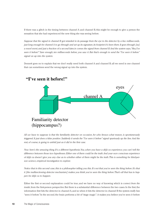If there was a glitch in the timing between channel A and channel B, this might be enough to give a person the sensation that she had experienced the new thing she was seeing before.

*Suppose that the signal in channel B got retarded in its passage from the eye to the detector by a few milliseconds, just long enough for channel A to go through and set up its signature,its footprint it's been there.It goes through [as] a novel event,and just a fraction of a second later,in comes the signal from channel B.And the system says,"Hey,I've seen it before!" Sure enough, ten milliseconds before, you saw it. But that's enough to send the "I've seen it before" signal on up into the system.*

Dennett goes on to explain that we don't really need both channel A and channel B; all we need is one channel that can sometimes send the wrong signal up into the system.



### "I've seen it before!"

*All we have to suppose is that the familiarity detector on occasion, for who knows what reason, is spontaneously triggered.It just does a false positive.Suddenly it sends the "I've seen it before"signal spuriously up the line.And the* rest, of course, is going to unfold just as it did in the first case.

*Now here's the amazing thing.It's a different hypothesis.You,when you have a déjà vu experience,you can't tell the difference between those two hypotheses.Either one of them could be the truth.And your own conscious experience of déjà vu doesn't give you any clue as to whether either of them might be the truth.This is something for third-person science,empirical investigation to explore.*

*Notice that in this second case,this is a philosopher telling you this.It's not that you've seen the thing before.It's that it [the malfunctioning detector mechanism] makes you think you've seen the thing before.That's all that has to happen for déjà vu to happen.*

Either the first or second explanation could be true, and we have no way of knowing which is correct *from the inside*, from the first-person perspective. But there is a substantial difference between the two cases. In the first, the information first hits the detector in channel A,and so when it hits the detector in channel B the system *really has* "seen it before."In the second, the brain performs a bit of "stage magic"; it makes you *believe* you've seen it before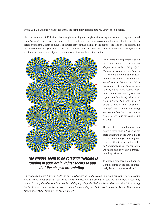when all that has actually happened is that the "familiarity detector"*told* you you've seen it before.

There are other mental "illusions"that, though surprising, can be given similar explanations involving unexpected brain "signals."Dennett discusses cases of illusory motion in peripheral vision and afterimages.The first involves a series of circles that seem to move if one stares at the small black iris in the center.If the illusion is successful,the circles seem to turn against each other and rotate. But there are no rotating images in the brain, only systems of motion detection sending signals to other systems that *say* they detect motion.



*"The shapes seem to be rotating!"Nothing is rotating in your brain. It just seems to you that the shapes are rotating*.

*Now there's nothing rotating up on the screen, nothing at all. But the shapes seem to be rotating, right? Nothing is rotating in your brain. If we were to look at the various visual areas where those parts are represented,we wouldn't see any rotation of any image.We would,however,see that regions in which motion detection occurs [send signals just as the regions for "familiarity detection" send signals] like "I've seen it before." [Signals] like, "something's moving"; those signals are being sent on up into the system. It just seems to you that the shapes are rotating.*

The sensation of an afterimage can be even more puzzling, since surely there is nothing in the world that is red or striped,and yet there appears to be.Or,at least,our sensation of the flag afterimage is *like* the sensation we might have if we saw a translucent flag before us.

To explain how this might happen, Dennett brings in the tool of "maximally bland computationalism."

*Ah, everybody got the American flag? There's no red stripes up on the screen.There's no red stripes on your retinal image.There's no red stripes in your visual cortex.And yet, it sure did seem as if there was a red stripe somewhere, didn't it?...I've gathered reports from people,and they say things like,"Well,the lowest short red stripe is intercepting the black cross."What? The lowest short red stripe is intercepting the black cross. So I want to know,"What are you talking about? What thing are you talking about?"*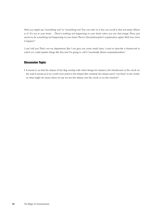*Well, you might say "something real" or "something red."You can refer to it.You can recall it, that red stripe.Where is it? It's not in your brain….There's nothing red happening in your brain when you see that image.There just seems to be something red happening in your brain.There's that philosopher's explanation again.Well,how does it happen?*

*I can't tell you.That's not my department. But I can give you some small clues. I want to describe a framework in which we could explain things like this,and I'm going to call it "maximally bland computationalism."*

#### **Discussion Topic:**

**•** It seems to us that the stripes of the flag overlap with other things, for instance, the blackboard or the clock on the wall. It seems as if we could even point to the stripes. But certainly the stripes aren't "out there"in the world, so what might we mean when we say we see the stripes over the clock, or on the window?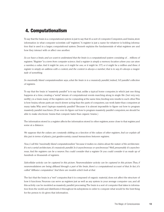## **4. Computationalism**

To say that the brain is a computational system is just to say that it's a sort of computer.Computers,and brains,store information in what computer scientists call "registers."A register is just a name for whatever is holding information that is used in a larger, computational system. Dennett explains the fundamentals of what registers are and how they interact with or affect one another.

*So we have a brain,and we want to understand that the brain is a computational system consisting of… trillions of registers."Register"is a term from computer science.And a register is simply a memory location where you can store a number, a value.And it might be zero, or it might be one, or it might be 375, or it might be a million and three.A register is simply an address with a content, and the content is always a number; that is to say, it's always a magnitude of something.*

*So maximally bland computationalism says, what the brain is is a massively parallel, indeed, 3-D parallel collection of registers.*

To say that the brain is "massively parallel" is to say that, unlike a typical home computer, in which just one thing happens at a time, creating a "serial" stream of computational events marching along in single file (but very, very swiftly), in a brain many of the registers can be computing at the same time, feeding new results to each other. This is how brains,whose parts are much slower acting than the parts of computers,can work faster than computers at many tasks.Why aren't laptops massively parallel? Because it is almost impossible to figure out how to program massively parallel machines. (If we ever do figure out how to program massively parallel computers, we should be able to make electronic brains that compute faster than organic brains.)

The information stored in a register affects the information stored in other registers,some close to that register,and some at a distance.

*We suppose that the values are constantly shifting as a function of the values of other registers.And we explain all* this just in terms of physics, just garden-variety, causal transactions between registers.

*Now,I call this "maximally bland computationalism"because it makes no claims about the nature of the architecture. It's not a serial architecture,it's massively parallel.Is it asynchronous or synchronous? Well,presumably it's asynchronous.And the registers can be a neuron.You could consider that a register. Or you could consider it as made up of hundreds or thousands of registers.*

*Subcellular activity can be captured in this picture. Neuromodulator activity can be captured in this picture.Thus, if neuromodulators are being diffused through a part of the brain, there's a computational account of that. In fact, it's called "diffusive computation."And there are models which look at that.*

The fact that the brain is a "wet" computer, that it is composed of organic material, does not affect the structure of how it functions. Neurons can serve as registers just as well as any system in your average computer can, and all this activity can be modeled as massively parallel processing.The brain is a sort of computer that takes in information from the world and distributes it throughout its subsystems in order to compute what would be the best thing for the person to do given that information.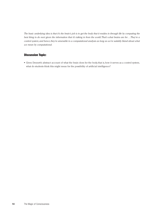*The basic underlying idea is that it's the brain's job is to get the body that it resides in through life by computing the best thing to do next given the information that it's taking in from the world.That's what brains are for….They're a control system,and hence,they're amenable to a computational analysis as long as we're suitably bland about what we mean by computational.*

#### **Discussion Topic:**

**•** Given Dennett's abstract account of what the brain does for the body, that is, how it serves as a control system, what do students think this might mean for the possibility of artificial intelligence?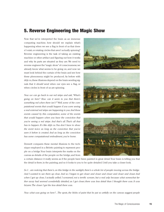### **5. Reverse Engineering the Magic Show**

Now that we've interpreted the brain as an immense computing machine, how should we explain what's happening when we see a flag in front of us that doesn't exist,or rotating circles that aren't actually spinning? Reverse engineering is the task of taking an existing machine or other artifact and figuring out how it works and why its parts are situated as they are. We need to reverse engineer the "magic show"of consciousness;we already know what seems to be going on, and now we must look behind the curtain of the brain and see how these phenomena might be produced. As before with déjà vu,these illusions depend on the brain sending signals that it *should* send when our eyes see a flag, or when circles in front of us are spinning.

*Now we can go back to our red stripe and ask,"What's going on here? How can it seem to you that there's something red when there isn't?"Well, some of the computational events that would happen if you were seeing a real external red stripe are happening in you.And these events caused by this computation, some of the events that would happen when you have the conviction that you're seeing a red stripe. And that's all. That's all that has to happen. It's like déjà vu.You don't have to show the event twice as long as the conviction that you've seen it before is created. And as long as the conviction has some computational embodiment,you're home.*

Dennett compares these mental illusions to the technique employed in a Belotto painting to represent people on a bridge.Your brain interprets the marks on the canvas as details of the people on the bridge,and from







a certain distance it really seems as if the people have been painted in great detail.Your brain is telling you that the detail is there, in the painting, and so it looks to you to be quite detailed. Until you take a closer look.

So I…am noticing that there's, on this bridge in the sunlight, there's a whole lot of people moving across the bridge. *And I wanted to see them up close. And so I began to get closer and closer and closer and closer and closer. And when I got up close, I actually yelled. I screamed, not a terrific scream, but a real yelp because what somewhat farther away had seemed wonderfully detailed, as I got closer, there was less detail than I thought there was. It was bizarre.The closer I got the less detail there was.*

*Now what was going on here?...The spots, the blobs of paint that he put so artfully on the canvas suggest people*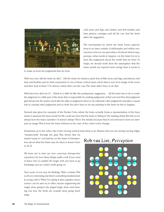

to make us form the judgments that we form.

*with arms, and legs, and clothes, and belt buckles, and hats, plumes, carriages and all the rest. And the brain takes the suggestion.*

The mechanisms by which the brain forms expectations is an issue outside of philosophy and within neuroscience,but we can speculate a bit about what is happening—what needs to happen—in the brain for us to form the judgments about the world that we form. To begin, we should work from the assumption that the brain would not expend more energy than it needs to

*Well,now,how did the brain do this?...Did the brain,for instance,paint lots of little arms,and legs,and plumes,and hats,and buckles,and so forth,somewhere in one of those cortical areas where there's sort of an image of the scene and then look at them? I'm almost certain that's not the case.The brain didn't have to do that.*

Well, then how did it do it?...I think it's a little bit like the posthypnotic suggestion....All the brain has to do is create *the judgment in a little part of the brain that is responsible for making judgments of that sort and then that judgment gets fed up into the system much like the déjà vu judgment where it can elaborate other judgments and play a causal role in causing other judgments and so forth.You don't have to do any painting in the brain for this to happen.*

Dennett also gives the example of the Necker Cube, where the brain actually forms a representation of the lines where it assumes the lines would be. We could say here that the brain is "filling in" the missing detail. But this is not always how the brain operates—it doesn't always "fill in"the details, because they're not relevant to how we interpret an image.This is how the brain behaves in the case of the cube's color change.

Sometimes, as in the video clip of the moving vertical bars, there is an illusion that you are seeing moving edges

"translucently" through the gray. This shows that we mustn't jump to conclusions, on the basis of introspection,about what the brain may do when it doesn't have to do it!

*We learn not to trust our own conscious introspective experience for how these things really work.If you want to know how to explain the magic trick, you have to go backstage and see what's really going on.*

*Now, some of you may be thinking,"Wait a minute.This* is all very interesting, but there's something fundamental*ly wrong with it."What I'm saying is that cognitive neuroscience can be seen as,in effect,reverse engineering the magic show,going to the staged magic show and showing you how the tricks are actually done, going backstage.*

### Rob van Lier, Perception

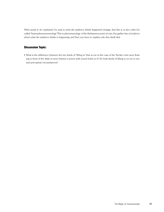*What needs to be explained, I've said, is what the audience thinks happened onstage.And this is, in fact, what I've called "heterophenomenonology."This is phenomenology of the third-person point of view.You gather lots of evidence about what the audience thinks is happening and then you have to explain why they think that.*

#### **Discussion Topic:**

**•** What is the difference between the two kinds of "filling in"that occur in the case of the Necker cube seen floating in front of the disks or seen behind a screen with round holes in it? Do both kinds of filling in occur in normal perceptual circumstances?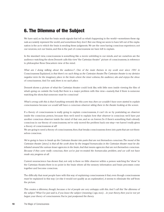## **6. The Dilemma of the Subject**

We have said, so far, that the brain sends signals that tell us what's happening in the world—sometimes these signals accurately represent the world,and sometimes they don't.But one thing we seem to have left out of the explanation is the *us* to which the brain is sending these judgments.*We* are the ones having conscious experience, not our neurons, not our brains, and this is the part of consciousness we have left to explain.

In the standard view, consciousness is something like a movie unfolding in our minds, and we ourselves are the audience watching the show. Dennett calls this view "the Cartesian theater" picture of consciousness, in reference to philosopher Rene Descartes's view of the mind.

*What am I doing talking about the audience?...One of the main themes in my work ever since 1991 in* Consciousness Explained*,is that there's no such thing as the Cartesian theater.The Cartesian theater is my derisive negative term for the imaginary place in the brain where the inner witness, the audience, sits and enjoys the show of consciousness.And I've said,there is no such place.*

Dennett shows a picture of what the Cartesian theater could look like, with little men inside viewing the film of what's going on outside the body. But there is a major problem with this view—namely, that if there is someone watching the show, that someone must be conscious!

*What's wrong with this is that if anything remotely like this were true,then we wouldn't have even started to explain consciousness because we would still have a conscious observer sitting there in the theater looking at the screen.*

If a theory of consciousness is really going to explain consciousness, it can't do so by postulating an observer inside the conscious person, because then we'd need to explain how *that observer* is conscious: we'd have put another conscious observer inside the mind of that one, and so on forever. So if there's something that's already conscious in our theory of consciousness,we've only moved the problem back one step—we haven't really given a theory of consciousness at all!

We are going to need a theory of consciousness, then, that breaks consciousness down into parts that are not themselves conscious.

*We're going to have to break up the Cartesian theater into parts that are not themselves conscious.The moral of the Cartesian theater [story] is that all the work done by the imaged homunculus in the Cartesian theater must be distributed around the various lesser agencies in the brain.And that means agencies that are not themselves conscious. Because if they were really conscious, then we've just re-created the homunculus problem, and we will not have made any progress at all.*

Current neuroscience has shown that, not only is there no little observer within a person watching the "show" in the Cartesian theater, there is no point in the brain where all the sensory information and brain processes come together and become conscious.

The difficulty that most people have with this way of explaining consciousness it that,even though consciousness *must* be explained in this way (or else it would not qualify as an *explanation*), it seems to eliminate the *self* from the picture.

*This creates a dilemma, though, because a lot of people are very unhappy with this.And I call this "the dilemma of the subject."What I've just said is, if you leave the subject (meaning I, ego,*moi*)…in your theory, then you've not yet begun your theory of consciousness.You've just postponed the theory.*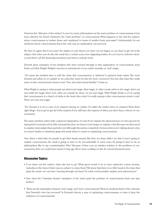However,the "dilemma of the subject"is seen by many philosophers as the main problem of consciousness; it has been labeled (by David Chalmers) the "hard problem" of consciousness. What happens to the self, the subject, when consciousness is broken down and explained in terms of smaller brain processes? Unfortunately for our intuitions about consciousness, this is the only way an explanation can proceed.

*We have to agree that if you leave the subject in your theory you have not yet begun, so you have to get rid of the* subject. And when you do this, the result has a certain scary, even disgusting feature. It's as if you've entered a facto*ry,and there's all this humming machinery,and there's nobody home.*

Dennett gives examples of two thinkers who have reacted strongly to this explanation of consciousness, Jerry Fodor and Bob Wright.Wright's reaction is reminiscent of our earlier remarks on "real"magic:

*"Of course the problem here is with the claim that consciousness is 'identical' to physical brain states.The more Dennett and others try to explain to me what they mean by this,the more convinced I become that what they really mean is that consciousness doesn't exist."Now does that sound familiar? I hope so.*

*What Wright is saying is what people say about real magic. Real magic, in other words, refers to the magic that's not real while the magic that's real—that can actually be done—is not real magic.What Wright thinks is, if I'm saying that consciousness is a bunch of tricks in the brain, then what I'm really saying is that consciousness doesn't exist. There isn't any real magic.*

*"For Dennett, it is not a case of an emperor having no clothes, it's rather the clothes have no emperor."Yeah, that's* right. Bingo. You've got to get rid of the emperor. If you still have the emperor in there, you don't have a theory of con*sciousness.*

The same problem arises with a physical explanation of color. If we explain the phenomenon of color, say, red, by saying that it is produced by little red particles, then we haven't even begun to explain color. Because we then need to explain what makes these *particles* red.Although this seems completely obvious when we're talking about color, it is much harder to intuitively grasp this point when it comes to explaining consciousness.

*Now that's a hard idea for people to get their heads around. But then, we knew, didn't we, that if you're going to explain consciousness, the result is going to have to be uncomfortable in some ways. It's going to have to be, as philosophers like to say, counterintuitive.Why? Because if there was an intuitive solution to the problems of consciousness,then we would have found it long ago.We've been working on this for several thousand years.*

#### **Discussion Topics:**

- **•** If we leave out the subject, what else has to go? What good would it be to have subjective colors, aromas, melodies in the brain if there was no subject to enjoy them? We know that there is no little band in the brain that plays the music we can have "running through our head."So what could possibly explain such phenomena?
- **•** How does the "Cartesian theater" metaphor of the mind push the problem of consciousness back one step further?
- What are the similarities between "real" magic and "real" consciousness? What do students think of the criticism that Dennett's view has received? Is Dennett's theory a way of explaining consciousness, or does it deny the existence of consciousness?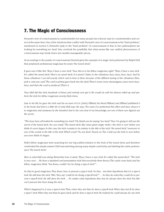## **7. The Magic of Consciousness**

Dennett's view of consciousness is counterintuitive for many people,but a theory may be counterintuitive and *correct* at the same time. One of the intuitions that conflict with Dennett's view of consciousness is the "hard problem," mentioned in section 6. Dennett's reply to the "hard problem" of consciousness is that, in fact, philosophers are looking for something *too hard*; they overlook the possibility that what seems like one unified phenomenon of consciousness may break down into smaller, manageable pieces.

As an analogy to the puzzle of consciousness, Dennett gives the example of a magic trick performed by Ralph Hull that perplexed professional magicians for years:"the tuned deck."

*It goes sort of like this."Boys,I have a new trick."Now this is to his fellow magicians,right? "Boys,I have a new trick. It's called 'the tuned deck.' Here's my tuned deck. It is tuned. I listen to the vibrations, buzz, buzz, buzz, buzz.And by those vibrations I can tell exactly which card is here, is there, because of the different tuning of the vibrations. Here, pick a card,any card."The card is picked,goes back into the deck.There's some more shenanigans,some more buzz, buzz,and then the card is produced.That's it.*

*Now, Hull did this trick, hundreds of times, and nobody ever got it. He would sit with his sleeves rolled up and perform the trick for fellow magicians twenty,thirty times.*

*Late in his life, he gave the trick and his account of it to [John] Hilliard, his friend Hilliard, and Hilliard published it in his book.And here's a little bit of what Hull says. He says,"For years I've performed this effect and have shown it to magicians and amateurs by the hundred.And to the very best of my knowledge,not one of them ever figured out the secret.*

*"The boys have all looked for something too hard."Oh,thank you for saying "too hard."Now I'm going to tell you the secret of the tuned deck.Are you ready? The tuned deck, like many great magic tricks—the trick is over before you* think it's even begun. In this case, the trick consists in its entirety in the title of the trick, "the tuned deck," moreover in *one of the words in the title of the trick.Which word? No,not* deck*.*Tuned*,no.*The*.I told you the trick is over before you even think it's begun.*

Hull's fellow magicians were searching for one big unified solution to the trick of the tuned deck, and therefore overlooked the simple answer:Hull was switching among many simple card tricks,and labeling the entire performance "*the* tuned deck."

*Here is what Hull was doing.Remember how it starts,"Boys,I have a new trick.It's called 'the tuned deck.'"The trick is now over….He does a standard card presentation trick that everybody there knows.The cards come back,and his fellow magicians think,"You know,couldn't he be doing a type-A trick?"…* 

*So they're good magicians.They know how to prevent a type-A trick. So they…test their hypothesis that it's a type-A trick.He still does the trick."Mm,"they say,"could he be doing a type-B trick?"… So they do what they could do to prevent a type-B trick. He still does the trick.... No matter what hypothesis they test, he always does the trick. You like can't prevent him from doing the trick.*

*What's happened is, it was a type-A trick.Then, when they test that, he does a type-B trick.When they test B, he does a type-C trick.When they test that,he goes back,and he does a type-A trick.He realized he could always do one trick*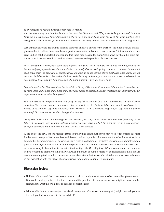#### *or another,and he just did whichever trick they let him do.*

*And the reason they didn't tumble for it was the word* the*,"the tuned deck."They were looking, as he said,for something too hard.They were looking for a hard problem,not a bunch of cheap tricks.In fact,all the tricks that they were doing were tricks that were quite familiar and in a certain way disappointing.And he hid all this with an elegant title.*

Just as magicians were tricked into thinking there was one great answer to the puzzle of the tuned deck,so philosophers are led to believe there must be one great answer to *the* problem of consciousness.But if we search for one great unified solution, instead of accepting that there may be smaller, manageable ways in which the brain produces consciousness, we might overlook the real answers to the problem of consciousness.

*Now, I do want to suggest, but I don't claim to prove, that when David Chalmers talks about the "hard problem," he is innocently playing a trick on himself and others of exactly this sort. He's giving a name to a problem that doesn't even really exist.The problems of consciousness are how all of the various effects work. And once you've got an* account of all those effects, that's what Chalmers calls the "easy problems," you're home. You've explained conscious*ness because there isn't any further problem, the hard problem. There just seems to be.* 

*So again here's what Hull says about the tuned deck.He says,"Each time it's performed,the routine is such that one or more ideas in the back of the back of the spectator's head is exploded. Sooner or later, he will invariably give up any further attempt to solve the mystery."*

*Like many scientists and philosophers today,they just say,"It's mysterious.Give up.It's hopeless.We can't do it."Some of us think,"No,we can explain consciousness,but we have to be alert to the fact that many people want consciousness to be mysterious.They don't want it explained.They don't want it to be like stage magic.They want it to be like* real magic." In other words, the kind of magic that isn't real.

*So my conclusion is this: that the magic of consciousness, like stage magic, defies explanation only so long as we take it at face value.Once we appreciate all the nonmysterious ways in which the brain can create benign user illusions,we can begin to imagine how the brain creates consciousness.*

At the end of the day,Dennett's message is this: to understand consciousness,we may need to reconsider our most fundamental presupposition about it—that it is one continuous,unified phenomenon.It may be that what we have taken to be *the* phenomenon of consciousness is really a collection of integrated individual, collaborative brain processes that *appear* to us as one great unified phenomenon.Explaining consciousness as a compilation of smaller processes may feel anticlimactic; we set out to investigate the Great Mystery of Consciousness,and our new task will be to examine ordinary brain activity. However, if the truth about the "magic" of consciousness is that it breaks down into nonmysterious subprocesses,we have arrived at our destination after all.What we must do now is trade in our fascination with the *magic* of consciousness for an appreciation of its *true* nature.

#### **Discussion Topics:**

- **•** Hull's trick "the tuned deck"uses several smaller tricks to produce what seems to be one unified phenomenon. Discuss the analogy between the tuned deck and the problem of consciousness. How might we make similar claims about what the brain does to produce consciousness?
- **•** What smaller brain processes (such as visual perception, information processing, etc.) might be analogous to the multiple tricks employed in the tuned deck?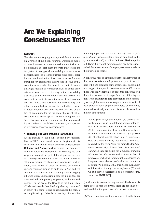## **Are We Explaining Consciousness Yet?**

#### **Abstract**

Theorists are converging from quite different quarters on a version of the global neuronal workspace model of consciousness, but there are residual confusions to be dissolved. In particular, theorists must resist the temptation to see global accessibility as the *cause* of consciousness (as if consciousness were some other, further condition); rather, it *is* consciousness. A useful metaphor for keeping this elusive idea in focus is that consciousness is rather like fame in the brain.It is not a privileged medium of representation,or an added property some states have; it is the very mutual accessibility that gives some informational states the powers that come with a subject's consciousness of that information. Like fame, consciousness is not a momentary condition, or a purely dispositional state, but rather a matter of actual influence over time.Theorists who take on the task of accounting for the *aftermath* that is critical for consciousness often appear to be leaving out the Subject of consciousness, when in fact they are providing an analysis of the Subject, a necessary component in any serious theory of consciousness.

#### **1. Clawing Our Way Towards Consensus**

As the Decade of the Brain (declared by President Bush in 1990) comes to a close,we are beginning to discern how the human brain achieves consciousness. **Dehaene and Naccache** (this volume—all boldfaced citations below are to papers in this volume) see convergence coming from quite different quarters on a version of the global neuronal workspace model.There are still many differences of emphasis to negotiate, and, no doubt, some errors of detail to correct, but there is enough common ground to build on. I agree, and will attempt to re-articulate this emerging view in slightly different terms, emphasizing a few key points that are often resisted, in hopes of precipitating further consolidation. (On the eve of the Decade of the Brain, Baars (1988) had already described a "gathering consensus" in much the same terms: consciousness, he said, is accomplished by a "distributed society of specialists

that is equipped with a working memory, called a *global workspace*, whose contents can be broadcast to the system as a whole"(p42).If,as **Jack and Shallice** point out, Baars' functional neuroanatomy has been superseded, this shows some of the progress we've made in the intervening years.)

A consensus may be emerging,but the seductiveness of the paths not taken is still potent, and part of my task here will be to diagnose some instances of backsliding and suggest therapeutic countermeasures. Of course those who still vehemently oppose this consensus will think it is I who needs therapy.These are difficult questions. Here is **Dehaene and Naccache**'s short summary of the global neuronal workspace model, to which I have attached some amplificatory notes on key terms, intended as friendly amendments to be elaborated in the rest of the paper:

At any given time, many modular (1) cerebral networks are active in parallel and process information in an unconscious manner. An information (2) becomes conscious,however,if the neural population that represents it is mobilized by top-down (3) attentional amplification into a brain-scale state of coherent activity that involves many neurons distributed throughout the brain.The long distance connectivity of these "workplace neurons" can, when they are active for a minimal duration (4), make the information available to a variety of processes including perceptual categorization, long-term memorization,evaluation,and intentional action.We postulate that this global availability of information through the workplace is (5) what we subjectively experience as a conscious state. [from the ABSTRACT]

(1) Modularity comes in degrees and kinds; what is being stressed here is only that these are specialist networks with limited powers of information processing.

(2) There is no standard term for an event in the brain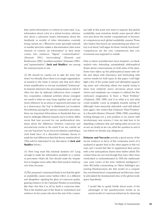that carries information or content on some topic (e.g., information about color at a retinal location, information about a phoneme heard, information about the familiarity or novelty of other information currently being carried, etc.).Whenever some specialist network or smaller structure makes a discrimination, fixes some element of content, "an information" in their sense comes into existence. "Signal," "content-fixation" (Dennett, 1991), "micro-taking" (Dennett and Kinsbourne,1992),"wordless narrative"(Damasio,1999), and "representation" (**Jack and Shallice**) are among the near-synonyms in use.

(3) We should be careful not to take the term "topdown"too literally. Since there is no single organizational summit to the brain, it means only that such attentional amplification is not just modulated "bottom-up" by features internal to the processing stream in which it rides, but also by *sideways* influences, from competitive, cooperative, collateral activities whose emergent net result is what we may lump together and call topdown influence.In an arena of opponent processes (as in a democracy) the "top" is distributed, not localized. Nevertheless,among the various competitive processes, there are important bifurcations or thresholds that can lead to strikingly different sequels, and it is these differences that best account for our pretheoretical intuitions about the difference between conscious and unconscious events in the mind. If we are careful, we can use "top-down"as an innocent allusion,exploiting a vivid fossil trace of a discarded Cartesian theory to mark the real differences that that theory misdescribed. (This will be elaborated in my discussion of **Jack and Shallice** below.)

(4) How long must this minimal duration be? Long enough to make the information available to a variety of processes—that's all. One should resist the temptation to imagine some *other* effect that needs to build up over time, because . . .

(5)The proposed consensual thesis is not that this global availability *causes* some further effect or a different sort altogether—igniting the glow of conscious qualia, gaining entrance to the Cartesian Theater,or something like that—but that it *is*, all by itself, a conscious state. This is the hardest part of the thesis to understand and embrace.In fact,some who favor the rest of the consensus balk at this point and want to suppose that global availability must somehow kindle some special effect over and above the merely computational or functional competences such global availability ensures.Those who harbor this hunch are surrendering just when victory is at hand, I will argue, for these "merely functional" competences are the very competences that consciousness was supposed to enable.

Here is where scientists have been tempted—or blackmailed—into defending unmistakably *philosophical* theses about consciousness, on both sides of the issue. Some have taken up the philosophical issues with relish, and others with reluctance and foreboding, with uneven results for both types. In this paper I will highlight a few of the points made and attempted, supporting some and criticizing others, but mainly trying to show how relatively minor decisions about word choice and emphasis can conspire to mislead the theoretician's imagination. Is there a "Hard Problem" (Chalmers, 1995, 1996) and if so what is it, and what could possibly count as progress towards solving it? Although I have staunchly defended—and will defend here again—the verdict that Chalmers'"Hard Problem" is a theorist's illusion (Dennett, 1996b,1998), something inviting therapy, not a real problem to be solved with revolutionary new science, I view my task here to be dispelling confusion first, and taking sides second. Let us see, as clearly as we can, what the question is, and is not, before we declare any allegiances.

**Dehaene and Naccache** provide a good survey of the recent evidence in favor of this consensus, much of it analyzed in greater deal in the other papers in this volume, and I would first like to supplement their survey with a few anticipations drawn from farther afield.The central ideas are not new, though they have often been overlooked or underestimated. In 1959, the mathematician (and coiner of the term "artificial intelligence") John McCarthy, commenting on Oliver Selfridge's pioneering Pandemonium, the first model of a competitive, non-hierarchical computational architecture, clearly articulated the fundamental idea of the global workspace hypothesis:

I would like to speak briefly about some of the advantages of the pandemonium model as an actual model of conscious behaviour.In observing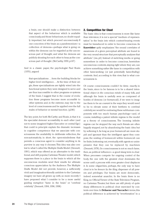a brain, one should make a distinction between that aspect of the behaviour which is available consciously,and those behaviours,no doubt equally important, but which proceed unconsciously. If one conceives of the brain as a pandemonium—a collection of demons—perhaps what is going on within the demons can be regarded as the unconscious part of thought, and what the demons are publicly shouting for each other to hear,as the conscious part of thought. (McCarthy, 1959, p147)

And in a classic paper, the psychologist Paul Rozin (1976), argued

that specializations ...form the building blocks for higher level intelligence.. . .At the time of their origin, these specializations are tightly wired into the functional system they were designed to serve and are thus inaccessible to other programs or systems of the brain. I suggest that in the course of evolution these programs become more *accessible* to other systems and, in the extreme, may rise to the level of consciousness and be applied over the full realm of behavior or mental function. (p246)

The key point, for both McCarthy and Rozin, is that it is the specialist demons' accessibility *to each other* (and not to some imagined higher Executive or central Ego) that could in principle explain the dramatic increases in cognitive competence that we associate with consciousness: the availability to deliberate reflection, the non-automaticity, in short, the open-mindedness that permits a conscious agent to consider anything in its purview in any way it chooses.This idea was also central to what I called the Multiple Drafts Model (Dennett, 1991), which was offered as an alternative to the traditional,and still popular,Cartesian Theater model,which supposes there is a place in the brain to which all the unconscious modules send their results for ultimate conscious appreciation by the Audience. The Multiple Drafts Model did not provide, however, a sufficiently vivid and imagination-friendly antidote to the Cartesian imagery we have all grown up with, so more recently I have proposed what I consider to be a more useful guiding metaphor: "fame in the brain" or "cerebral celebrity."(Dennett, 1994, 1996, 1998)

#### **2. Competition for Clout**

The basic idea is that consciousness is more like fame than television; it is *not* a special "medium of representation" in the brain into which content-bearing events must be transduced in order to become conscious. As **Kanwisher** aptly emphasizes:"the neural correlates of awareness of a given perceptual attribute are found in the very neural structure that perceptually analyzes that attribute." (ms, p6) Instead of switching media or going somewhere in order to become conscious, heretofore unconscious contents,staying right where they are,can achieve something *rather like* fame in competition with other fame-seeking (or just potentially fame*-finding*) contents. And, according to this view, that is what consciousness is.

Of course consciousness couldn't be *fame,* exactly, in the brain, since to be famous is to be a shared intentional object *in the conscious minds* of many folk, and although the brain is usefully seen as composed of hordes of demons (or *homunculi)*, if we were to imagine them to be *au courant* in the ways they would need to be to elevate some of their brethren to cerebral celebrity,we would be endowing these subhuman components with too much human psychology—and, of course, installing a patent infinite regress in the model as a theory of consciousness. The looming infinite regress can be stopped the way such threats are often happily stopped, not by abandoning the basic idea but by softening it.As long as your *homunculi* are more stupid and ignorant than the intelligent agent they compose, the nesting of homunculi within homunculi can be finite, bottoming out, eventually, with agents so unimpressive that they can be replaced by machines (Dennett,1978).So consciousness is not so much fame, then,as political influence—a good slang term is *clout.* When processes compete for ongoing control of the body, the one with the greatest clout dominates the scene until a process with even greater clout displaces it. In some oligarchies, perhaps, the only way to have clout is to be *known by the King*, dispenser of all powers and privileges. Our brains are more democratic, indeed somewhat anarchic. In the brain there is no King,no Official Viewer of the State Television Program, no Cartesian Theater, but there are still plenty of quite sharp differences in political clout exercised by contents over time.In **Dehaene and Naccache**'s terms,this political difference is achieved by "reverberation" in a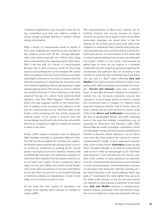"sustained amplification loop" (ms, p20), while the losing competitors soon fade into oblivion, unable to recruit enough specialist attention to achieve *self-sustaining* reverberation.

What a theory of consciousness needs to explain is how some relatively few contents become elevated to this political power, with all the ensuing *aftermath,* while most others evaporate into oblivion after doing their modest deeds in the ongoing projects of the brain. Why is this the task of a theory of consciousness? Because that is what conscious events do. They hang around,monopolizing time "in the limelight."We cannot settle for putting it that way, however.There is no literal searchlight of attention,so we need to explain away this seductive metaphor by explaining the functional powers of attention-*grabbing* without presupposing a single attention*-giving* source.This means we need to address two questions.Not just (1) How is this fame in the brain achieved? but also (2)—which I have called the Hard Question—And Then What Happens? (Dennett, 1991, p255). One may postulate activity in one neural structure or another as the necessary and sufficient condition for consciousness, but one must then take on the burden of the explaining why *that* activity ensures the political power of the events it involves—and this means taking a good hard look at how the relevant differences in competence might be enabled by changes in status in the brain.

Hurley (1998) makes a persuasive case for taking the Hard Question seriously in somewhat different terms: The Self (and its surrogates, the Cartesian *res cogitans*, the Kantian transcendental ego,among others) is not to be located by subtraction, by peeling off the various layers of perceptual and motor "interface"between Self and World.We must reject the traditional "sandwich" in which the Self is isolated from the outside world by layers of "input" and "output." On the contrary, the Self is large, concrete, and visible in the world, not just "distributed"in the brain but spread out into the world.Where we act and where we perceive is not funneled through a bottleneck, physical or metaphysical, in spite of the utility of such notions as "*point* of view."

As she notes, the very content of perception can change, while keeping input constant, by changes in output (p289).

This interpenetration of effects and contents can be fruitfully studied, and several avenues for future research are opened up by papers in this volume.What particularly impresses me about them is that the authors are all, in their various ways, more alert to the obligation to address the Hard Question than many previous theorists have been, and the result is a clearer, better-focused picture of consciousness in the brain, with no leftover ghosts lurking.If we set aside our *philosophical* doubts (settled or not) about consciousness as global fame or clout, we can explore in a relatively undistorted way the empirical questions regarding the mechanisms and pathways that are necessary, or just normal, for achieving this interesting functional status (we can call it a *Type-C* status, following **Jack and Shallice**, if we want to remind ourselves of what we are setting aside,while remaining noncommital).For example, **Parvizi and Damasio** claim that a midbrain panel of specialist proto-self evaluators accomplish a normal, but not necessary, evaluation process that amounts to a sort of triage, which can boost a content into reverberant fame or consign it to oblivion; these proto-self evaluators thereby tend to secure fame for those contents that are most relevant to current needs of the body. **Driver and Vuilleumier** concentrate on the "fate of extinguished stimuli" (ms, p18ff), exploring some of the ways that multiple competitions—e.g., as proposed by Desimone's and Duncan's (1995, 1995) Winner-Take-All model of multiple competition—leave not only single winners,but lots of quite powerful semifinalists or also-rans, whose influences can be traced even when they don't achieve the canonical—indeed, operationalized—badge of fame: subsequent reportability (more on that,below).**Kanwisher** points out that sheer "activation strength" is no mark of consciousness until we see to what use that strength is put ("And then what happens?") and proposes that "the neural correlates of the *contents* of visual awareness are represented in the ventral pathway,whereas the neural correlates of more general-purpose *content-independent* processes associated with awareness (attention, binding, etc.) are found primarily in the dorsal pathway, which suggests (if I understand her claim rightly) that, just as in the wider world, whether or not you become famous can depend on what is going on *elsewhere* at the same time. **Jack and Shallice** propose a complementary balance between prefrontal cortex and anterior cingulate, a sort of high-road vs low-road dual path, with par-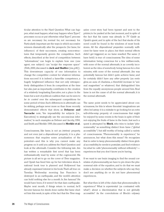ticular attention to the Hard Question: What can happen,what must happen,what may happen when Type-C processes occur, or put otherwise: what Type-C processes are necessary for, normal for, not necessary for. Particularly important are the ways in which successive winners dramatically alter the prospects (for fame, for influence) of their successors, creating nonce-structures that temporarily govern the competition. Such effects, described at the level of competition between "informations," can begin to explain how one (one agent, one subject) can "sculpt the response space" (Frith,2000,discussed in **Jack and Shallice** [ms,p46]). This downstream capacity of one information to change the competitive context for whatever informations succeed it is indeed a fame-like competence, a hugely heightened influence that not only retrospectively distinguishes it from its competitors at the time but also, just as importantly, contributes to the creation of a relatively long-lasting Executive, not a place in the brain but a sort of political coalition that can be seen to *be in control* over the subsequent competitions for some period of time.Such differences in aftermath can be striking, perhaps never more so than those recently demonstrated effects that show, as **Dehaene and Naccache** note, "the impossibility for subjects [i.e., Executives] to strategically use the unconscious information," in such examples as Debner and Jacoby, 1994, and Smith and Merikle 1999,discussed in **Merikle et al.**

Consciousness, like fame, is not an *intrinsic* property, and not even just a *dispositional* property; it is a phenomenon that requires some actualization of the potential—and this is why you cannot make any progress on it until you address the Hard Question and look at the aftermath. Consider the following tale. Jim has written a remarkable first novel that has been enthusiastically read by some of the *cognoscenti*. His picture is all set to go on the cover of *Time* magazine, and Oprah has lined him up for her television show. A national book tour is planned and Hollywood has already expressed interest in his book.That's all true on Tuesday. Wednesday morning San Francisco is destroyed in an earthquake, and the world's attention can hold nothing else for a month. Is Jim famous? He would have been, if it weren't for that darn earthquake. Maybe next month, if things return to normal, he'll *become* famous for deeds done earlier. But fame eluded him this week,in spite of the fact that the *Time* magazine cover story had been typeset and sent to the printer, to be yanked at the last moment, and in spite of the fact that his name was already in *TV Guide* as Oprah's guest, and in spite of the fact that stacks of his novel could be found in the windows of most bookstores. All the *dispositional properties* normally sufficient for fame were in place, but their normal effects didn't get triggered, so no fame resulted. The same (I have held) is true of consciousness. The idea of some information being conscious for a few milliseconds, with none of the normal aftermath, is as covertly incoherent as the idea of somebody being famous for a few minutes, with none of the normal aftermath. Jim was potentially famous but didn't quite achieve fame; and he certainly didn't have any *other* property (an eerie glow, an aura of charisma, a threefold increase in "animal magnetism" or whatever) that distinguished him from the equally anonymous people around him. Real fame is not the *cause* of all the normal aftermath; it *is* the normal aftermath.

The same point needs to be appreciated about consciousness, for this is where theorists' imaginations are often led astray: it is a mistake to go looking for an *extra* will-of-the-wisp property of consciousness that might be enjoyed by some events in the brain in spite of their not enjoying the fruits of fame in the brain. Just such a quest is attempted by **Block**, who tries to isolate "phenomenality" as something distinct from fame ("global accessibility") but still worthy of being called a variety of consciousness. "Phenomenality is experience," he announces, but what does this mean? He recognizes that in order to keep phenomenality distinct from global accessibility,he needs to postulate,and find evidence for, what he calls "phenomenality without reflexivity" experiences that you don't know you're having.

If we want to use brain imaging to find the neural correlates of phenomenality,we have to pin down the phenomenal side of the equation, and to do that we must make a decision on whether the subjects who say they don't see anything do or do not have phenomenal experiences.

But what then is left of the claim that phenomenality is experience? What is *experiential* (as contrasted with what?) about a discrimination that is not globally accessible? As the convolutions of Block's odyssey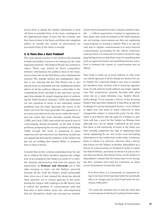reveal, there is always the simpler hypothesis to fend off: there is *potential* fame in the brain (analogous to the dispositional status of poor Jim, the novelist) and then there is fame in the brain,and these two categories suffice to handle the variety of phenomena we encounter. Fame in the brain is enough.

#### **3. Is There Also a Hard** *Problem***?**

The most natural reaction in the world to this proposal is frank incredulity: it *seems* to be leaving out the most important element—the Subject! People are inclined to object: "There may indeed be fierce competition between 'informations' for political clout in the brain, but you have left out the First Person,who entertains the winners." The mistake behind this misbegotten objection is not noticing that the First Person has in fact already been incorporated into the multifarious further effects of all the political influence achievable in the competitions. Some theorists in the past have encouraged this mistake by simply stopping short of addressing the Hard Question. Damasio (1999) has addressed our two questions in terms of two intimately related problems: how the brain "generates the movie in the brain" and how the brain generates "the *appearance* of an owner and observer for the movie *within the movie,*" and has noted that some theorists, notably Penrose (1989) and Crick (1994),have made the tactical error of concentrating almost exclusively on the first of these problems, postponing the second problem indefinitely. Oddly enough, this tactic is reassuring to some observers,who are relieved to see that these models are not,apparently,denying the existence of the Subject but just not *yet* tackling that mystery. Better to postpone than to deny, it seems.

A model that, on the contrary, undertakes from the outset to address the Hard Question, assumes the obligation of accounting for the Subject in terms of "a collective dynamic phenomenon that does not require any supervision," as **Dehaene and Naccache** put it. This risks seeming to leave out the Subject, precisely because all the work the Subject would presumably have done, once it had enjoyed the show, has already been parceled out to various agencies in the brain, leaving the Subject with nothing to do.We haven't really solved the problem of consciousness until that Executive is itself broken down into subcomponents that are themselves *clearly* just unconscious underla-

borers which themselves work (compete,interfere,dawdle ...) without supervision. Contrary to appearances, then, those who work on answers to the Hard Question are not leaving consciousness *out*, they are explaining consciousness by leaving it *behind*. That is to say, the only way to explain consciousness is to move beyond consciousness, accounting for the effects consciousness has when it is achieved.It is hard to avoid the nagging feeling,however,that there must be something that such an approach leaves out, something that lies somehow in between the causes of consciousness and its effects.

Your body is made up of some trillions of cells, each one utterly ignorant of all the things *you* know.If we are to explain the conscious Subject, one way or another the transition from clueless cells to knowing organizations of cells must be made without any magic ingredients. This requirement presents theorists with what some see as a nasty dilemma (e.g., Andrew Brook, forthcoming). If you propose a theory of the knowing Subject that describes whatever it describes as like the workings of a vacant automated factory—not a Subject in sight—you will seem to many observers to have changed the subject or missed the point. On the other hand, if your theory still has tasks for a Subject to perform, still has a need for the Subject as Witness, then although you can be falsely comforted by the sense that there is still somebody at home in the brain, you have actually postponed the task of explaining what needs explaining. To me one of the most fascinating bifurcations in the intellectual world today is between those to whom it is obvious—*obvious*—that a theory that leaves out the Subject is thereby disqualified as a theory of consciousness (in Chalmers's terms,it evades the Hard Problem), and those to whom it is just as obvious that any theory that *doesn't* leave out the Subject is disqualified.I submit that the former have to be wrong, but they certainly don't lack for conviction, as these recent declarations eloquently attest:

If, in short, there is a community of computers living in my head,there had also better be somebody who is in charge; and, by God, it had better be me. (Fodor, 1998, p207)

Of course the problem here is with the claim that consciousness is 'identical'to physical brain states.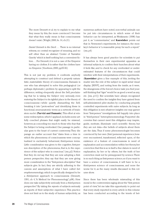The more Dennett et al. try to explain to me what they mean by this, the more convinced I become that what they really mean is that consciousness doesn't exist. (Wright, 2000, fn. 14, ch.21)

*Daniel Dennett is the Devil...* There is no internal witness, no central recognizer of meaning, and no self other than an abstract 'Center of Narrative Gravity'which is itself nothing but a convenient fiction. . . . For Dennett, it is not a case of the Emperor having no clothes. It is rather that the clothes have no Emperor. (Voorhees, 2000, pp55-56)

This is not just my problem; it confronts anybody attempting to construct and defend a properly naturalistic, materialistic theory of consciousness. Damasio is one who has attempted to solve this pedagogical (or perhaps diplomatic) problem by appearing to split the difference, writing eloquently about the Self, proclaiming that he is taking the Subject very seriously, even *restoring* the Subject to its rightful place in the theory of consciousness—while quietly dismantling the Self, breaking it into "proto-selves" and identifying these in functional, neuroanatomic terms as a network of brainstem nuclei (**Parvizi and Damasio**).This effort at winsome redescription,which I applaud,includes some artfully couched phrases that might easily be misread, however,as conceding too much to those who fear that the Subject is being overlooked. One passage in particular goes to the heart of current controversy. They disparage an earlier account that "dates from a time in which the phenomena of consciousness were conceptualized in exclusively behavioral, third-person terms. Little consideration was given to the cognitive, first-person description of the phenomena, that is, to the experience of the subject who is conscious."(ms,p2) Notice that they do *not* say that they are now adopting a firstperson perspective; they say that they are now giving more consideration to the "first-person *description*"that subjects give. In fact, they are strictly adhering to the canons and assumptions of what I have called *heterophenomenology*,which is specifically designed to be a *third-person* approach to consciousness (Dennett, 1991, ch 4,"A Method for Phenomenology," p98). How does one take subjectivity seriously from a third-person perspective? By taking the *reports* of subjects seriously as reports of their subjective experience. This practice does not limit us to the study of human subjectivity; as numerous authors have noted, non-verbal animals can be put into circumstances in which some of their behavior can be interpreted, as Weiskrantz (1998) has put it, as "commentaries," and **Kanwisher** points out that in Newsome's experiments, for instance, the monkey's behavior is "a reasonable proxy for such a report."  $(ms, p4)$ 

It has always been good practice for scientists to put themselves in their own experimental apparatus as informal subjects,to confirm their hunches about what it feels like, and to check for any overlooked or underestimated features of the circumstances that could interfere with their interpretations of their experiments. (**Kanwisher** gives a fine example of this, inviting the reader into the role of the subject in rapid serial visual display [RSVP], and noting from the inside, as it were, the strangeness of the forced choice task: you find yourself thinking that "tiger"would be as good a word as any, etc. [ms, p11]) But scientists have always recognized the need to confirm the insights they have gained from self-administered pilot studies by conducting properly controlled experiments with naive subjects. As long as this obligation is met,whatever insights one may garner from "first-person" investigations fall happily into place in "third-person" heterophenomenology. Purported discoveries that cannot meet this obligation may inspire, guide, motivate, illuminate one's scientific theory, but *they* are not data—the beliefs of subjects about them are the data. Thus if some phenomenologist becomes convinced by her own (first-)personal experience,however encountered, transformed, reflected upon, of the existence of a feature of consciousness in need of explanation and accommodation within her theory, her conviction that this is so is itself a fine datum in need of explanation, by her or by others, but the truth of her conviction must not be presupposed by science.There is no such thing as first-person science,so if you want to have a *science* of consciousness, it will have to be a third-person science of consciousness, and none the worse for it, as the many results discussed in this volume show.

Since there has been wholesale misreading of this moral in the controversies raging about the "first person point of view," let me take this opportunity to point out that every study reported in every article in this volume has been conducted according to the tenets of het-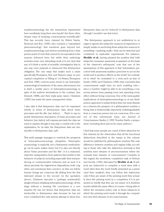erophenomenology. Are the researchers represented here needlessly tying their own hands? Are there other, deeper ways of studying consciousness scientifically? This has recently been claimed by Petitot, Varela, Pachoud and Roy (1999), who envision a "naturalized phenomenology" that somehow goes beyond heterophenomenology and derives something from a firstperson point of view that cannot be incorporated in the manner followed here, but while their anthology includes some very interesting work, it is not clear that any of it finds a mode of scientific investigation that in any way even purports to transcend this third-person obligation. The one essay that makes such a claim specifically, Thompson, Noë and Pessoa's essay on perceptual completion or "filling in"(cf. Pessoa,Thompson and Noë, 1998) corrects some errors in my heterophenomenological treatment of the same phenomena, but is itself a worthy piece of heterophenomenology, in spite of the authors declarations to the contrary (see Dennett, 1998b, and their reply, same issue). Chalmers (1999) has made the same unsupported claim:

I also take it that first-person data can't be expressed wholly in terms of third-person data about brain processes *and the like* [my italics]. . . . .That's to say, no purely third-person description of brain processes *and behavior* [my italics] will express precisely the data we want to explain, though it may play a central role in the explanation. So 'as data,' the first-person data are irreducible to third-person data. (p8)

This swift passage manages to overlook the prospects of heterophenomenology altogether. Heterophenomenology is explicitly not a first-person methodology (as its name makes clear) but it is also not directly about "brain processes and the like"; it is a reasoned, objective extrapolation from patterns discernible in the behavior of subjects,including especially their text-producing or communicative behavior, and as such it is *about* precisely the higher-level dispositions, both cognitive and emotional, that convince us that our fellow human beings are conscious. By sliding from the first italicized phrase to the second (in the quotation above), Chalmers executes a (perhaps unintended) sleight-of-hand,whisking heterophenomenology off the stage without a hearing. His conclusion is a non sequitur. He has not shown that first-person data are irreducible to third-person data because he has not even considered the only serious attempt to show *how*

first-person data can be "reduced" to third-person data (though I wouldn't use that term).

The third-person approach is not antithetical to, or eager to ignore,the subjective nuances of experience; it simply insists on anchoring those subjective nuances to *something—*anything,really—that can be detected and confirmed in replicable experiments. For instance, Merikle et al., having adopted the position that "with subjective measures,awareness is assessed on the basis of the observer's self-reports," note that one of the assumptions of this approach is that "information perceived with awareness enables a perceiver to act on the world and to produce effects on the world."As contrasted to what? As contrasted to a view, such as that of Searle (1992) and Chalmers (1996), that concludes that consciousness *might* have no such enabling role since a "zombie"might be able to do everything a conscious person does, passing every test, reporting every effect,without being conscious.One of the inescapable implications of heterophenomenology, or of any thirdperson approach to subjectivity,is that one must dismiss as a chimera the prospect of a philosopher's zombie, a being that is behaviorally, objectively indistinguishable from a conscious person but not conscious. (For a survey of this unfortunate topic, see *Journal of Consciousness Studies*, 2, 1995,"Zombie Earth: a symposium,"including short pieces by many authors.)

I find that some people are cured of their attraction for this chimera by the observation that all the functional distinctions described in the essays in this volume would be exhibited by philosophers' zombies.The only difference between zombies and regular folks, according to those who take the distinction seriously, is that zombies have streams of *unconsciousness* where the normals have streams of *consciousness!* Consider, in this regard, the word-stem completion task of Debner and Jacoby (1994) discussed by **Merikle et al.** If subjects are instructed to complete a word stem with a word other than the word briefly presented as a prime (and then masked), they can follow this instruction only if they are aware of the priming word; they actually favor the priming word as a completion if it is presented so briefly that they are not aware of it. Zombies would exhibit the same effect,of course—being able to follow the exclusion policy only in those instances in which the priming word made it through the competition into their streams of *un*-consciousness.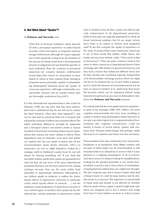#### **4. But What About "Qualia"?**

#### As **Dehaene and Naccache** note,

[T]he flux of neuronal workspace states associated with a perceptual experience is vastly beyond accurate verbal description or long-term memory storage.Furthermore,although the major organization of this repertoire is shared by all members of the species,its details result from a developmental process of epigenesis and are therefore specific to each individual. Thus the contents of perceptual awareness are complex, dynamic, multi-faceted neural states that cannot be memorized or transmitted to others in their entirety. These biological properties seem potentially capable of substantiating philosophers' intuitions about the "qualia" of conscious experience,although considerable neuroscientific research will be needed before they are thoroughly understood.(ms, p34-5)

It is this informational superabundance, also noted by Damasio (1999, see esp p93), that has lured philosophers into a definitional trap.As one sets out to answer the Hard Question ("And then what happens?"), one can be sure that no practical, finite set of answers will exhaust the richness of effects and potential effects.The subtle individual differences wrought by epigenesis and a thousand chance encounters creates a unique manifold of functional (including *dys*functional) dispositions that outruns any short catalog of effects. These dispositions may be dramatic—ever since that yellow car crashed into her, one shade of yellow sets off her neuromodulator alarm floods (Dennett, 1991)—or minuscule—an ever so slight relaxation evoked by a nostalgic whiff of childhood comfort food. So one will always be "leaving something out." If one dubs this inevitable residue *qualia,*then qualia are guaranteed to exist, but they are just more of the same, dispositional properties that have not yet been entered in the catalog (perhaps because they are the most subtle, least amenable to approximate definition). Alternatively, if one defines *qualia* as whatever is neither the downstream effects of experiences (reactions to particular colors, verbal reports, effects on memory . . .) nor the upstream causal progenitors of experiences (activity in one cortical region or another), then qualia are, by definitional fiat, *intrinsic properties* of experiences considered in isolation from all their causes and effects, logically independent of all dispositional properties. Defined thus, they are logically guaranteed to elude all broad functional analysis—but it's an empty victory, since there is no reason to believe such properties exist! To see this, compare the qualia of experience to the value of money. Some naive Americans cannot get it out of their heads that dollars, unlike francs and marks and yen, have *intrinsic value* ("How much is that in *real* money?").They are quite content to "reduce"the value of other currencies in dispositional terms to their exchange rate with dollars (or goods and services), but they have a hunch that dollars are different. Every dollar, they declare, has something logically independent of its functionalistic exchange powers, which we might call its *vis*. So defined, the *vis* of each dollar is guaranteed to elude the theories of economists forever,but we have no reason to believe in it—aside from their heartfelt hunches, which can be explained without being honored.It is just such an account of philosophers'intuitions that **Dehaene and Naccache** propose.

It is unfortunate that the term *qualia* has been adopted in spite of my warnings (1988, 1991, 1994b)—by some cognitive neuroscientists who have been unwilling or unable to believe that philosophers intend that term to occupy a peculiar logical role in arguments about functionalism that cognitive neuroscience *could not* resolve. A review of recent history (drawn, with revisions, from Dennett, forthcoming) will perhaps clarify this source of confusion and return us to the real issues.

Functionalism is the idea enshrined in the old proverb: handsome is as handsome does. Matter matters only because of what matter can do. Functionalism in this broadest sense is so ubiquitous in science that it is tantamount to a reigning presumption of all of science. And since science is always looking for simplifications, looking for the greatest generality it can muster, functionalism in practice has a bias in favor of minimalism, of saying that less matters than one might have thought. The law of gravity says that it doesn't matter what stuff a thing is made of—only its mass matters (and its density, except in a vacuum).The trajectory of cannonballs of equal mass and density is not affected by whether they are made of iron,copper or gold.It might have mattered, one imagines, but in fact it doesn't. And wings don't have to have feathers on them in order to power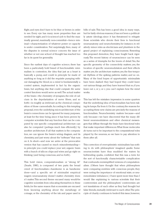flight, and eyes don't have to be blue or brown in order to see. Every eye has many more properties than are needed for sight, and it is science's job to find the maximally general, maximally non-committal—hence minimal—characterization of whatever power or capacity is under consideration. Not surprisingly, then, many of the disputes in normal science concern the issue of whether or not one school of thought has reached too far in its quest for generality.

Since the earliest days of cognitive science, there has been a particularly bold brand of functionalistic minimalism in contention, the idea that just as a heart is basically a pump, and could in principle be made of anything so long as it did the requisite pumping without damaging the blood, so a mind is fundamentally a control system, implemented in fact by the organic brain, but anything else that could *compute the same control functions* would serve as well.The actual matter of the brain—the chemistry of synapses, the role of calcium in the depolarization of nerve fibers, and so forth—is roughly as irrelevant as the chemical composition of those cannonballs.According to this tempting proposal,even the underlying micro-architecture of the brain's connections can be ignored for many purposes, at least for the time being, since it has been proven by computer scientists that any function that can be computed by one specific computational architecture can also be computed (perhaps much less efficiently) by another architecture. If all that matters is the computation, we can ignore the brain's wiring diagram, and its chemistry, and just worry about the "software" that runs on it. In short—and now we arrive at the provocative version that has caused so much misunderstanding in principle you could replace your wet, organic brain with a bunch of silicon chips and wires and go right on thinking (and being conscious, and so forth).

This bold vision, computationalism or "strong AI" (Searle, 1980), is composed of two parts: the broad creed of functionalism—handsome is as handsome does—and a specific set of minimalist empirical wagers: neuroanatomy doesn't matter; chemistry doesn't matter.This second theme excused many would-be cognitive scientists from educating themselves in these fields,for the same reason that economists are excused from knowing anything about the metallurgy of coinage, or the chemistry of the ink and paper used in

bills of sale. This has been a good idea in many ways, but for fairly obvious reasons,it has not been a politically astute ideology, since it has threatened to relegate those scientists who devote their lives to functional neuroanatomy and neurochemistry, for instance, to relatively minor roles as electricians and plumbers in the grand project of explaining consciousness. Resenting this proposed demotion, they have fought back vigorously. The recent history of neuroscience can be seen as a series of triumphs for the lovers of detail.Yes, the specific geometry of the connectivity matters; yes, the location of specific neuromodulators and their effects matter; yes, the architecture matters; yes, the fine temporal rhythms of the spiking patterns matter, and so on. Many of the fond hopes of opportunistic minimalists have been dashed: they had hoped they could leave out various things, and they have learned that no, if you leave out *x*, or *y*, or *z*, you can't explain how the mind works.

This has left the mistaken impression in some quarters that the underlying idea of functionalism has been taking its lumps.Far from it.On the contrary,the reasons for accepting these new claims are precisely the reasons of functionalism. Neurochemistry matters because—and *only* because—we have discovered that the many different neuromodulators and other chemical messengers that diffuse through the brain have *functional roles* that make important differences.What those molecules *do* turns out to be important to the *computational* roles played by the neurons, so we have to pay attention to them after all.

This correction of over-optimistic minimalism has nothing to do with philosophers' imagined *qualia*. Some neuroscientists have thus muddied the waters by befriending qualia, confident that this was a term for the sort of functionally characterizable complication that confounds oversimplified versions of computationalism. (Others have thought that when philosophers were comparing zombies with conscious people, they were noting the importance of emotional state, or neuromodulator imbalance.) I have spent more time than I would like explaining to various scientists that their controversies and the philosophers' controversies are not translations of each other as they had thought but false friends,mutually irrelevant to each other.The principle of charity continues to bedevil this issue,however,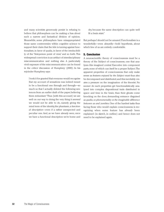and many scientists generously persist in refusing to believe that philosophers can be making a fuss about such a narrow and fantastical division of opinion. Meanwhile, some philosophers have misappropriated those same controversies within cognitive science to support their claim that the tide is turning against functionalism, in favor of qualia, in favor of the irreducibility of the "first-person point of view," and so forth. This widespread conviction is an artifact of interdisciplinary miscommunication and nothing else. A particularly vivid exposure of the miscommunication can be found in the critics' discussion of Humphrey (2000). In his rejoinder Humphrey says:

I took it for granted that everyone would recognise that my account of sensations was indeed meant to be a functional one through and through—so much so that I actually deleted the following sentences from an earlier draft of the paper, believing them redundant:"Thus [with this account] we are well on our way to doing the very thing it *seemed* we would not be able to do, namely giving the mind term of the identity,the phantasm,a *functional description*—even if a rather unexpected and peculiar one. And, as we have already seen, once we have a functional description we're home and

dry, because the same description can quite well fit a brain state."

But perhaps I should not be amazed.Functionalism is a wonderfully—even absurdly—bold hypothesis, about which few of us are entirely comfortable.

#### **5. Conclusion**

A neuroscientific theory of consciousness must be a theory of the Subject of consciousness, one that analyzes this imagined central Executive into component parts, none of which can itself be a proper Subject.The apparent properties of consciousness that only make sense as *features enjoyed by the Subject* must thus also be decomposed and distributed,and this inevitably creates a pressure on the imagination of the theorist. No sooner do such properties get functionalistically analyzed into complex dispositional traits distributed in space and time in the brain, than their ghosts come knocking on the door, demanding entrance disguised as *qualia,*or *phenomenality* or *the imaginable difference between us and zombies*. One of the hardest tasks thus facing those who would explain consciousness is recognizing when some feature has *already* been explained (in sketch, in outline) and hence does not need to be explained again.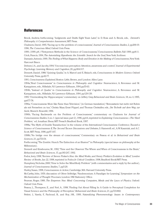#### **References**

Brook, Andrew, forthcoming,"Judgments and Drafts Eight Years Later," in D. Ross and A. Brook, eds., *Dennett's Philosophy: A Comprehensive Assessment*, MIT Press.

Chalmers, David, 1995,"Facing up to the problem of consciousness,"*Journal of Consciousness Studies*, 2, pp200-19. 1996,*The Conscious Mind*, Oxford Univ. Press.

1999, (1999, p8.) "First-person Methods in the Science of Consciousness,"*Consciousness Bulletin*, Fall 1999, pp8-11. Crick, Francis, 1994,*The Astonishing Hypothesis: the Scientific Search for the Soul*, New York: Scribner.

Damasio,Antonio,1999,*The Feeling of What Happens: Body and Emotion in the Making of Consciousness*,New York: Harcourt Brace.

Debner,J.A.,and Jacoby,1994,"Unconscious perception:Attention,awareness and control,"*Journal of Experimental Psychology: Learning Memory and Cognition*, 20, pp304-317.

Dennett, Daniel, 1988,"Quining Qualia," in A. Marcel and E. Bisiach, eds,*Consciousness in Modern Science*, Oxford University Press, pp42-77.

1991,*Consciousness Explained*, Boston: Little, Brown, and London: Allen Lane.

1994a,"Real Consciousness" in *Consciousness in Philosophy and Cognitive Neuroscience*, A. Revonsuo and M. Kamppinen, eds., Hillsdale, NJ: Lawrence Erlbaum, 1994,pp55-63.

1994b, "Instead of Qualia" in *Consciousness in Philosophy and Cognitive Neuroscience*, A. Revonsuo and M. Kamppinen, eds., Hillsdale, NJ: Lawrence Erlbaum, 1994. pp129-139.

1995,"Overworking the Hippocampus,"commentary on Jeffrey Gray,*Behavioral and Brain Sciences*, 18, no. 4, 1995, pp677-78.

1996a,"Consciousness: More like Fame than Television,"(in German translation) "Bewusstsein hat mehr mit Ruhm als mit Fernsehen zu tun," Christa Maar, Ernst Pöppel, and Thomas Christaller, eds., *Die Technik auf dem Weg zur Seele*, Munich: Rowohlt, 1996.

1996b, "Facing Backwards on the Problem of Consciousness," commentary on Chalmers for *Journal of Consciousness Studies*,3,no.1 (special issue,part 2),1996,pp4-6,reprinted in *Explaining Consciousness—The 'Hard Problem,'* ed. Jonathan Shear, MIT Press/A Bradford Book, 1997.

1998a,"The Myth of Double Transduction,"in the volume of the *International Consciousness Conference*,*Toward a Science of Consciousness II,The Second Tucson Discussions and Debates*, S. Hameroff, ed.,A.W. Kaszniak, and A.C. Scott, MIT Press, 1998, pp97-107.

1998b,"No bridge over the stream of consciousness," Commentary on Pessoa et al: in *Behavioral and Brain Sciences*, 21, pp753-54.

Forthcoming,"The Zombic Hunch:The Extinction of an Illusion?"in *Philosophy* (special issue on philosophy at the Millennium).

Dennett and Kinsbourne, M., 1992,"Time and the Observer: The Where and When of Consciousness in the Brain," *Behavioral and Brain Sciences*, 15, pp183-247, 1992.

Fodor, Jerry, 1998,"Review of Steven Pinker's *How the Mind Works*, and Henry Plotkin's *Evolution in Mind*," *London Review of Books*, Jan 22, 1998, reprinted in Fodor,*In Critical Condition*, 1998, Bradford Book/MIT Press.

Humphrey,Nicholas,2000,"How to Solve the Mind-Body Problem"(with commentaries and a reply by the author), *Journal of Consciousness Studies,* 7, pp5-20.

Hurley, Susan, 1998,*Consciousness in Action*, Cambridge, MA: Harvard University Press.

McCarthy, John, 1959, discussion of Oliver Selfridge,"Pandemonium: A Paradigm for Learning," *Symposium on the Mechanization of Thought Processes*, London: HM Stationery Office.

Penrose, Roger, 1989, *The Emperors New Mind: Concerning Computers, Minds and the Laws of Physics,* Oxford: Oxford Univ. Press.

Pessoa, L., Thompson, E., and Noë, A., 1998,"Finding Out About Filling In: A Guide to Perceptual Completion for Visual Science and the Philosophy of Perception,"*Behavioral and Brain Sciences*, 21, pp723-802.

Petitot, J., Varela, F., Pachoud, B., and Roy, J-M., 1999, *Naturalizing Phenomenology: Issues in Contemporary*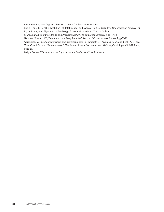*Phenomenology and Cognitive Science*, Stanford, CA: Stanford Univ. Press.

Rozin, Paul, 1976, "The Evolution of Intelligence and Access to the Cognitive Unconscious," *Progress in Psychobiology and Physiological Psychology*, 6, New York: Academic Press, pp245-80.

Searle, John, 1980,"Minds, Brains, and Programs,"*Behavioral and Brain Sciences,* 3, pp417-58.

Voorhees, Burton, 2000,"Dennett and the Deep Blue Sea,"*Journal of Consciousness Studies,* 7, pp53-69.

Weiskrantz, L., 1998,"Consciousness and Commentaries," in Hameroff, SR, Kaszniak, A. W., and Scott, A. C., eds. *Towards a Science of Consciousness II: The Second Tucson Discussions and Debates*, Cambridge, MA: MIT Press, pp11-25.

Wright, Robert, 2000,*Nonzero: the Logic of Human Destiny,*New York: Pantheon.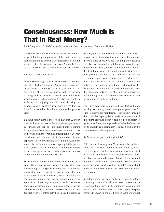## **Consciousness: How Much Is That in Real Money?**

for R. Gregory, ed.,*Oxford Companion to the Mind*, on consciousness. December 12, 2001

Consciousness often seems to be utterly mysterious. I suspect that the principal cause of this bafflement is a sort of accounting error that is engendered by a familiar series of challenges and responses.A simplified version of one such path to mysteryland runs as follows:

#### Phil:What is consciousness?

Sy:Well,some things–such as stones and can-openers are utterly lacking in any *point of view,* any *subjectivity* at all, while other things—such as you and me—do have points of view: private, perspectival, interior ways of being apprised of some limited aspects of the wider world and our bodies' relations to it.We lead our lives, suffering and enjoying, deciding and choosing our actions, guided by this "first-person" access that we have.To be conscious is to be an agent with a point of view.

Phil: But surely there is more to it than that! A cherry tree has limited access to the ambient temperature at its surface, and can be (mis-)guided into blooming inopportunely by unseasonable warm weather; a robot with video camera "eyes" and microphone "ears" may discriminate and respond aptly to hundreds of different aspects of its wider world; my own immune system can sense, discriminate, and respond appropriately (for the most part) to millions of different eventualities. Each of these is an agent (of sorts) with a point of view (of sorts) but none of them is conscious.

Sy:Yes,indeed; there is more.We conscious beings have capabilities these simpler agents lack. We don't just notice things and respond to them; we *notice* that we notice things. More exactly, among the many discriminative states that our bodies may enter (including the states of our immune systems, our autonomic nervous systems, our digestive systems, and so forth), a subset of them can be discriminated in turn by higher-order discriminations which then become sources of guidance for higher level control activities. In us, this recursive

capacity for self-monitoring exhibits no clear limits beyond those of available time and energy.If somebody throws a brick at you, you see it coming and duck. But you also discriminate the fact that you *visually* discriminated the projectile,and can then discriminate the further fact that you can tell visual from tactile discriminations (usually),and then go on to reflect on the fact that you are also able to recall recent sensory discriminations in some detail, and that there is a difference between experiencing something and recalling the experience of something, and between thinking about the difference between recollection and experience and thinking about the difference between seeing and hearing, and so forth, till bedtime.

Phil: But surely there is more to it than that! Although existing robots may have quite paltry provisions for such recursive self-monitoring, I can readily imagine this particular capacity being added to some robot of the future. However deftly it exhibited its capacity to generate and react appropriately to "reflective"analyses of its underlying discriminative states, it wouldn't be conscious—not the way we are.

#### Sy: Are you sure you can imagine this?

Phil: Oh yes, absolutely sure. There would be, perhaps, some sort of *executive* point of view definable by analysis of the power such a robot would have to control itself based on these reactive capacities, but this robotic subjectivity would be a pale shadow of ours.When it uttered "it seems to me ..."its utterances wouldn't really mean anything—or at least, they wouldn't mean what I mean when I tell you what it's like to be me,how things seem to me.

Sy: I don't know how you can be so confident of that, but in any case, you're right that there is more to consciousness than that. Our discriminative states are not just discriminable; they have the power to provoke preferences in us. Given choices between them, we are not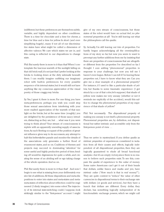indifferent, but these preferences are themselves subtle, variable, and highly dependent on other conditions. There is a time for chocolate and a time for cheese, a time for blue and a time for yellow. In short (and oversimplifying hugely), many if not all of our discriminative states have what might be called a dimension of affective valence. We care which states we are in, and this caring is reflected in our dispositions to change state.

Phil: But surely there is more to it than that! When I contemplate the luscious warmth of the sunlight falling on that old brick wall,it's not just that I prefer looking at the bricks to looking down at the dirty sidewalk beneath them. I can readily imagine outfitting our imaginary robot with built-in preferences for every possible sequence of its internal states, but it would still not have anything like my conscious *appreciation* of the visual poetry of those craggy, rosy bricks.

Sy:Yes, I grant it; there is more. For one thing, you have meta-preferences; perhaps you wish you could stop those sexual associations from interfering with your more exalted appreciation of the warmth of that sunlight on the bricks, but at the same time (roughly) you are delighted by the persistence of those saucy intruders, distracting as they are, but . . . what was it you were trying to think about? Your stream of consciousness is replete with an apparently unending supply of associations.As each fleeting occupant of the position of greatest influence gives way to its successors,any attempt to halt this helter-skelter parade and monitor the details of the associations only generates a further flood of evanescent states, and so on. Coalitions of themes and projects may succeed in dominating "attention" for some useful and highly productive period of time, fending off would-be digressions for quite a while, and creating the sense of an abiding self or ego taking charge of the whole operation.And so on.

Phil: But surely there is more to it than that! And now I begin to see what is missing from your deliberately evasive list of additions.All these dispositions and meta-dispositions to enter into states and meta-states and metameta-states of reflection about reflection could be engineered (I dimly imagine) into some robot.The trajectory of its internal state-switching could, I suppose, look strikingly similar to the "first-person" account I might

give of my own stream of consciousness, but those states of the robot would have no actual *feel*, no *phenomenal* properties at all! You're still leaving out what the philosophers call the *qualia*.

Sy: Actually, I'm still leaving out *lots* of properties. I've hardly begun acknowledging all the oversimplifications of my story so far, but now you seem to want to pre-empt any further additions from me by insisting that there are properties of consciousness that are altogether different from the properties I've described so far. I thought I *was* adding "phenomenal" properties in response to your challenge, but now you tell me I haven't even begun. Before I can tell if I'm leaving these properties out, I have to know what they are. Can you give me a clear example of a phenomenal property? For instance, if I used to like a particular shade of yellow, but thanks to some traumatic experience (I got struck by a car of that color, let's suppose) that shade of yellow now makes me very uneasy (whether or not it reminds me explicitly of the accident), would this suffice to change the *phenomenal* properties of my experience of that shade of yellow?

Phil: Not necessarily. The *dispositional* property of making you uneasy is not itself a phenomenal property. Phenomenal properties are, by definition, not dispositional but rather intrinsic and accessible only from the first-person point of view . . .

Thus we arrive in mysteryland. If you define *qualia* as *intrinsic properties* of experiences considered in isolation from all their causes and effects, logically independent of all dispositional properties, then they are logically guaranteed to elude all broad functional analysis—but it's an empty victory,since there is no reason to believe such properties exist. To see this, compare the *qualia* of experience to the *value* of money. Some naive Americans can't get it out of their heads that dollars, unlike francs and marks and yen, have *intrinsic value* ("How much is that in *real* money?"). They are quite content to "reduce" the value of other currencies in dispositional terms to their exchange rate with dollars (or goods and services), but they have a hunch that dollars are different. Every dollar, they declare, has something logically independent of its functionalistic exchange powers, which we might call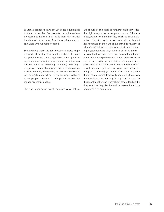its *vim*. So defined, the *vim* of each dollar is guaranteed to elude the theories of economists forever, but we have no reason to believe in it—aside from the heartfelt hunches of those naive Americans, which can be explained without being honored.

Some participants in the consciousness debates simply demand, flat out, that their intuitions about phenomenal properties are a non-negotiable starting point for any science of consciousness. Such a conviction must be considered an interesting symptom, deserving a diagnosis, a datum that any science of consciousness must account for,in the same spirit that economists and psychologists might set out to explain why it is that so many people succumb to the potent illusion that money has intrinsic value.

There are many properties of conscious states that can

and should be subjected to further scientific investigation right now, and once we get accounts of them in place, we may well find that they satisfy us as an explanation of what consciousness is. After all, this is what has happened in the case of the erstwhile mystery of what *life* is.Vitalism—the insistence that there is some big, mysterious extra ingredient in all living things turns out to have been not a deep insight but a failure of imagination.Inspired by that happy success story,we can proceed with our scientific exploration of consciousness. If the day arrives when all these acknowledged debts are paid and we plainly see that something big is missing (it should stick out like a sore thumb at some point,if it is really important) those with the unshakable hunch will get to say they told us so. In the meantime,they can worry about how to fend off the diagnosis that they, like the vitalists before them, have been misled by an illusion.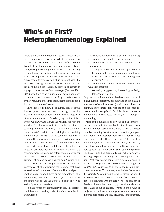## **Who's on First? Heterophenomenology Explained**

There is a pattern of miscommunication bedeviling the people working on consciousness that is reminiscent of the classic Abbott and Costello 'Who's on First?'routine. With the best of intentions, people are talking past each other, seeing major disagreements when there are only terminological or tactical preferences—or even just matters of emphasis—that divide the sides. Since some substantive differences also lurk in this confusion, it is well worth trying to sort out. Much of the problem seems to have been caused by some misdirection in my apologia for *heterophenomenology* (Dennett, 1982; 1991),advertised as an explicitly *third-*person approach to human consciousness, so I will try to make amends by first removing those misleading signposts and sending us back to the real issues.

On the face of it, the study of human consciousness involves phenomena that seem to occupy something rather like another dimension: the private, subjective, '*first*-person' dimension. Everybody agrees that this is where we start. What, then, is the relation between the standard 'third-person' objective methodologies for studying meteors or magnets (or human metabolism or bone density), and the methodologies for studying human consciousness? Can the standard methods be extended in such a way as to do justice to the phenomena of human consciousness? Or do we have to find some quite radical or revolutionary alternative science? I have defended the hypothesis that there is a straightforward, conservative extension of objective science that handsomely covers the ground—*all* the ground—of human consciousness, doing justice to all the data without ever having to abandon the rules and constraints of the experimental method that have worked so well in the rest of science.This third-person methodology, dubbed heterophenomenology (phenomenology *of another,*not oneself), is, I have claimed, the sound way to take the *first-*person point of view as seriously as it can be taken.

To place heterophenomenology in context, consider the following ascending scale of methods of scientific investigation:

experiments conducted on anaesthetized animals; experiments conducted on awake animals;

experiments on human subjects conducted in 'behaviorese'

—subjects are treated as much as possible like laboratory rats, trained to criterion with the use of small rewards, with minimal briefing and debriefing, etc.;

experiments in which human subjects collaborate with experimenters

—making suggestions, interacting verbally, telling what it is like.

Only the last of these methods holds out much hope of taking human subjectivity seriously, and at first blush it may seem to be a first-person (or, with its emphasis on communicative interaction with the subjects, secondperson) methodology,but in fact it is *still* a third-person methodology if conducted properly. It is heterophenomenology.

Most of the method is so obvious and uncontroversial that some scientists are baffled that I would even call it a method: basically, you have to take the vocal sounds emanating from the subjects' mouths (and your own mouth) and *interpret* them! Well of course. What else could you do? Those sounds aren't just belches and moans; they're speech acts, reporting, questioning, correcting, requesting, and so forth. Using such standard speech acts, other events such as button-presses can be set up to be interpreted as speech acts as well, with highly specific meanings and fine temporal resolution. What this interpersonal communication enables you,the investigator,to do is to compose a catalogue of *what the subject believes to be true about his or her conscious experience*.This catalogue of beliefs fleshes out the subject's *heterophenomenological world*, the world according to S—the subjective world of one subject not to be confused with the real world.The total set of details of heterophenomenology, plus all the data we can gather about concurrent events in the brains of subjects and in the surrounding environment,comprise the total data set for a theory of human consciousness.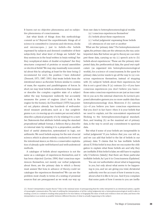It leaves out no objective phenomena and no subjective phenomena of consciousness.

Just what kinds of things does this methodology commit us to? Beyond the unproblematic things all of science is committed to (neurons and electrons, clocks and microscopes...) just to *beliefs—*the beliefs expressed by subjects and deemed constitutive of their subjectivity. And what kind of things are beliefs? Are they sentences in the head written in brain writing? Are they nonphysical states of dualist ectoplasm? Are they structures composed of proteins or neural assemblies or electrical fields? We may stay maximally noncommittal about this by adopting, at least for the time being (I recommend: for ever), the position I have defended (Dennett, 1971; 1987; 1991) that treats beliefs from *the intentional stance* as *theorists' fictions* similar to centres of mass, the equator, and parallelograms of forces. In short, we may treat beliefs as *abstractions* that measure or describe the complex cognitive state of a subject rather the way horsepower indirectly but accurately measures the power of engines (don't look in the engine for the horses).As Churchland (1979) has pointed out, physics already has hundreds of well-understood measure predicates, such as *x has weight-ingrams n*,or *x is moving up at n meters per second*,which describe a physical property of x by relating it to a *number*. Statements that attribute beliefs using the standard *propositional attitude* format, *x believes that p*, describe x's internal state by relating it to a *proposition*, another kind of useful abstraction, systematized in logic, not arithmetic.We need beliefs anyway for the rest of social science,which is almost entirely conducted in terms of the intentional stance,so this is a conservative exploitation of already quite well-behaved and well-understood methods.

A catalogue of beliefs about experience is not the same as a catalogue of experiences themselves, and it has been objected (Levine, 1994) that 'conscious experiences themselves, not merely our verbal judgments about them, are the primary data to which a theory must answer.' But how, in advance of theory, could we catalogue the experiences themselves? We can see the problem most clearly in terms of a nesting of proximal sources that are presupposed as we work our way up

from raw data to heterophenomenological worlds:

- (a) 'conscious experiences themselves'
- (b) beliefs about these experiences
- (c) 'verbal judgments' expressing those beliefs
- (d) utterances of one sort or another

What are the 'primary data'? For heterophenomenologists,the *primary* data are the utterances,the *raw,*uninterpreted data.But before we get to theory,we can interpret these data, carrying us via (c) speech acts to (b) beliefs about experiences.1 These are the primary *interpreted* data, the pretheoretical data, the *quod erat explicatum* (as organized into heterophenomenological worlds), for a science of consciousness. In the quest for primary data,Levine wants to go all the way to (a) conscious experiences themselves, instead of stopping with (b) subjects' beliefs about their experiences, but this is not a good idea. If (a) outruns (b)—if you have conscious experiences you don't believe you have those extra conscious experiences are just as inaccessible *to you* as to the external observers. So Levine's proposed alternative garners you no more usable data than heterophenomenology does. Moreover, if (b) outruns (a)—if you believe you have conscious experiences that you don't in fact have—then it is your beliefs that we need to explain, not the non-existent experiences! Sticking to the heterophenomenological standard, then, and treating (b) as the maximal set of primary data, is the way to avoid any commitment to spurious data.

But what if some of your beliefs are inexpressible in verbal judgments? If you believe *that*, you can tell us, and we can add that belief to the list of beliefs in our primary data: 'S claims that he has ineffable beliefs about X.'If this belief is true,then we encounter the obligation to explain what these beliefs are and why they are ineffable.If this belief is false,we still have to explain why S believes (falsely) that there are these particular ineffable beliefs.As I put it in *Consciousness Explained*,

You are *not* authoritative about what is happening in you, but only about what *seems* to be happening in you, and we are giving you total, dictatorial authority over the account of how it seems to you, about *what it is like to be you*. And if you complain that some parts of how it seems to you are ineffa-

<sup>[1]</sup> Doesn't interpretation require theory? Only in the minimal sense of presupposing that the entity interpreted is an intentional system, capable of meaningful communication.The task of unifying the interpretation of all the verbal judgments into a heterophenomenological world is akin to reading a novel,in contrast to reading what purports to be true history or biography.The issue of truth and evidence does not arise,and hence the interpretation is as neutral as possible between different theories of what is actually happening in the subject.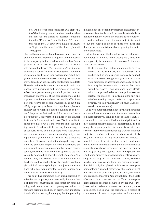ble, we heterophenomenologists will grant that too.What better grounds could we have for believing that you are unable to describe something than that (1) you don't describe it,and (2) confess that you cannot? Of course you might be lying,but we'll give you the benefit of the doubt (Dennett, 1991, pp. 96—7).

This is all quite obvious, but it has some under-appreciated implications. Exploiting linguistic communication in this way,you get a fine window into the subject's subjectivity but at the cost of a peculiar lapse in normal interpersonal relations. You *reserve judgment* about whether the subject's beliefs,as expressed in their communication, are true, or even well-grounded, but then you treat them as *constitutive* of that subject's subjectivity.(As far as I can see,this is the third-person parallel to Husserl's notion of bracketing or *epoché*, in which the normal presuppositions and inferences of one's own subjective experience are put on hold, as best one can manage, in order to get at the core experience, as theory-neutral and unencumbered as possible.) This interpersonal reserve can be somewhat creepy. To put it fancifully, suppose you burst into my heterophenomenology lab to warn me that the building is on fire. I don't leap to my feet and head for the door; I write down 'subject S believes the building is on fire.''No,really, it's on fire!' you insist, and I ask, 'Would you like to expand on that? *What is it like* for you to think the building is on fire?' and so forth. In one way I am taking you as seriously as you could ever hope to be taken, but in another way I am not. I am not *assuming* that you are right in what you tell me, but just that that is what you do believe. Of course most of the data-gathering is not done by any such simple interview. Experiments are run in which subjects are prepared by various conversations, hooked up to all manner of apparatus, etc., and carefully debriefed. In short, heterophenomenology is nothing new; it is nothing other than the method that has been used by psychophysicists, cognitive psychologists, clinical neuropsychologists, and just about everybody who has ever purported to study human consciousness in a serious, scientific way.

This point has sometimes been misunderstood by scientists who suppose,quite reasonably,that since I am a philosopher I must want to scold somebody for something, and hence must be proposing restrictions on standard scientific method, or discovering limitations therein. On the contrary, I am urging that the prevailing

methodology of scientific investigation on human consciousness is not only sound, but readily extendable in non-revolutionary ways to incorporate *all* the purported exotica and hard cases of human subjectivity.I want to put the burden of proof on those who insist that third-person science is incapable of grasping the nettle of consciousness.

Let me try to secure the boundaries of the heterophenomenological method more clearly, then, since this has apparently been a cause of confusion.As Anthony Jack has said to me:

It strikes me that heterophenomenology is a method in the same way that 'empiricism' is a method, but no more specific nor clearly defined than that. Given how general you seem to allow your definition of heterophenomenology to be, it is no surprise that everything conforms! Perhaps it would be clearer if you explained more clearly what it is supposed to be a counterpoint to—what it is that you object to.I know I am not the only one who has a feeling that you make the goalposts surprisingly wide.So what exactly is a foul? (Jack,personal correspondence).

Lone-wolf autophenomenology, in which the subject and experimenter are one and the same person, is a foul, not because you can't do it, but because it isn't science until you turn your self-administered pilot studies into heterophenomenological experiments. It has always been good practice for scientists to put themselves in their own experimental apparatus as informal subjects, to confirm their hunches about what it feels like, and to check for any overlooked or underestimated features of the circumstances that could interfere with their interpretations of their experiments. But scientists have always recognized the need to confirm the insights they have gained from introspection by conducting properly controlled experiments with naive subjects. As long as this obligation is met, whatever insights one may garner from 'first-person' investigations fall happily into place in 'third-person' heterophenomenology. Purported discoveries that cannot meet this obligation may inspire, guide, motivate, illuminate one's scientific theory,but *they* are not data—the beliefs of subjects about them are the data.Thus if some phenomenologist becomes convinced by her own (first- )personal experience, however encountered, transformed, reflected upon, of the existence of a feature of consciousness in need of explanation and accommo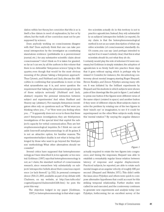dation within her theory, her *conviction that this is so* is itself a fine datum in need of explanation, by her or by others, but the truth of her conviction must not be presupposed by science.

Does anybody working on consciousness disagree with this? Does anybody think that one can take personal introspection by the investigator as constituting stand-alone evidence (publishable in a peer-reviewed journal, etc.) for any substantive scientific claim about consciousness? I don't think so. It is taken for granted, so far as I can see,by all the authors in this volume that there is no defensible 'first-person science' lying in this quarter, even though that would be the most obvious meaning of the phrase 'taking a first-person approach.' Thus Cytowic, and Hubbard and Jack, discuss the difficulties in confirming that synaesthesia is more or less what synaesthetes say it is, and never question the requirement that 'taking the phenomenological reports of these subjects seriously' (Hubbard and Jack, abstract) requires 'the personal interaction between subject and experimenter.' And when Hurlburt and Heavey say (abstract),'For example, first-person investigators often rely on questions such as "What were you thinking when you...?" or "How were you feeling when you...?"'it apparently does not occur to them that these *aren't* first-person investigations; they are third-person investigations of the special kind that exploit the subject's capacity for verbal communication.They are heterophenomenological inquiries. So I think we can set aside lone-wolf autophenomenology in all its guises. It is not an attractive option, for familiar reasons. The experimenter/subject duality is not what is being challenged by those who want to go beyond the 'third-person' methodology. What other alternatives should we consider?

Several critics have supposed that heterophenomenology,as I have described it,is too agnostic or too neutral.Goldman (1997) says that heterophenomenology is not, as I claim, the standard method of consciousness research, since researchers 'rely substantially on subjects'introspective beliefs about their conscious experience (or lack thereof)' (p. 532). In personal correspondence (Feb 21,2001,available as part of my debate with Chalmers, on my website, at http://ase.tufts.edu/ cogstud/papers/chalmersdeb3dft.htm) he puts the point this way:

The objection lodged in my paper [Goldman, 1997] to heterophenomenology is that what cogni-

tive scientists *actually* do in this territory is not to practice agnosticism. Instead, they rely substantially on subjects' introspective beliefs (or reports).So my claim is that the heterophenomenological method is not an accurate description of what cognitive scientists (of consciousness) standardly do. Of course, you can say (and perhaps intended to say,but if so it wasn't entirely clear) that this is what scientists *should* do, not what they *do* do.

I certainly would play the role of reformer if it were necessary,but Goldman is simply mistaken; the adoption of agnosticism is so firmly built into practice these days that it goes without saying, which is perhaps why he missed it. Consider, for instance, the decades-long controversy about mental imagery, starring Roger Shepard, Steven Kosslyn, and Zenon Pylyshyn among many others. It was initiated by the brilliant experiments by Shepard and his students in which subjects were shown pairs of line drawings like the pair in figure 1, and asked to press one button if the figures were different views of the same object (rotated in space) and another button if they were of different objects. Most subjects claim to solve the problem by rotating one of the two figures in their 'mind's eye' or imagination, to see if it could be superimposed on the other.Were subjects really doing this 'mental rotation'? By varying the angular distance



*Figure 1* 

actually required to rotate the two figures into congruence, and timing the responses, Shepard was able to establish a remarkably regular linear relation between latency of response and angular displacement. Practiced subjects, he reported, are able to rotate such mental images at an angular velocity of roughly 60E per second (Shepard and Metzler, 1971). This didn't settle the issue,since Pylyshyn and others were quick to compose alternative hypotheses that could account for this striking temporal relationship. Further studies were called for and executed,and the controversy continues to generate new experiments and analysis today (see Pylyshyn, forthcoming, for an excellent survey of the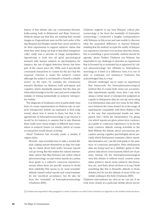history of this debate; also my commentary, Dennett, forthcoming, both in *Behavioral and Brain Sciences*). Subjects always *say* that they are rotating their mental images,so if agnosticism were not the tacit order of the day, Shepard and Kosslyn would have never needed to do their experiments to support subjects' claims that what they were doing (at least if described metaphorically) really was a process of image manipulation. Agnosticism is built into all good psychological research with human subjects. In psychophysics, for instance, the use of signal detection theory has been part of the canon since the 1960s, and it specifically commands researchers to control for the fact that the response criterion is under the subject's control although the subject is not himself or herself a reliable source on the topic. Or consider the voluminous research literature on illusions, both perceptual and cognitive, which standardly assumes that the data are what subjects judge to be the case,and never makes the mistake of 'relying substantially on subjects' introspective beliefs.'

The diagnosis of Goldman's error is particularly clear here: of course experimenters on illusions rely on subjects' introspective beliefs (as expressed in their judgments) about how it *seems* to them, but that *is* the agnosticism of heterophenomenology; to go beyond it would be, for instance, to assume that in size illusions there really were visual images of different sizes somewhere in subjects' brains (or minds), which of course no researcher would dream of doing.2

David Chalmers has recently made a similar, if vaguer, claim:

Dennett... says scientists have to take a neutral attitude (taking reports themselves as data, but making no claims about their truth), because reports can go wrong. But this misses the natural intermediate option that Max Velmans has called critical phenomenology: accept verbal reports as a prima facie guide to a subject's conscious experience, except where there are specific reasons to doubt their reliability. This seems to be most scientists' attitude toward verbal reports and consciousness: it's not 'uncritical acceptance,' but it's also far from the 'neutrality' of heterophenomenology (Chalmers, 2003).

Chalmers neglects to say how Velmans' critical phenomenology is 'far from' the neutrality of heterophenomenology. I conducted a lengthy correspondence with Velmans on this score and was unable to discover what the purported difference is, beyond Velmans' insisting that his method 'accepts the reality of first-person experience,' but since it is unclear what this means, this is something a good scientific method should be agnostic about. Neither Chalmers nor Velmans has responded to my challenge to describe an experiment that is licensed by, or motivated by, or approved by 'critical phenomenology' but off-limits to heterophenomenology, so if there is a difference here, it is one of style or emphasis, not substance. Chalmers has acknowledged this, in a way:

Dennett 'challenges' me to name an experiment that 'transcends' the heterophenomenological method. But of course both views can accommodate experiments equally: every time I say we're using a verbal report or introspective judgment as a guide to first-person data, he can say we're using it as third-person data, and vice versa. So the difference between the views doesn't lie in the range of experiments 'compatible' with them. Rather, it lies in the way that experimental results are interpreted. And I think the interpretation I'm giving (on which reports are given prima facie credence as a guide to conscious experience) is by far the most common attitude among scientists in the field. Witness the debate about unconscious perception among cognitive psychologists about precisely which third-person measures (direct report, discrimination,etc.) are the best guide to the presence of conscious perception. Here, third-person data are being used as a (fallible) guide to firstperson data about consciousness,which are of primary interest. On the heterophenomenological view, this debate is without much content: some states subserve report, some subserve discrimination, etc., and that's about all there is to say. I think something like this is Dennett's attitude to those debates, but it's not the attitude of most of the scientists working in the field (Chalmers, 2003).

Chalmers misconstrues my view, as we can see if we look more closely at a particular debate about uncon-

[2] Goldman has responded to this paragraph in a series of emails to me,which I have included in an Appendix on the website mentioned above.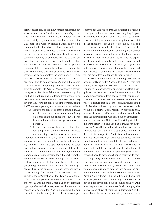scious perception, to see how heterophenomenology sorts out the issues. Consider *masked priming*. It has been demonstrated in hundreds of different experiments that if you present subjects with a 'priming' stimulus, such as a word or picture flashed briefly on a screen in front of the subject, followed very swiftly by a 'mask'—a blank or sometimes randomly patterned rectangle—before presenting the subjects with a 'target' stimulus to identify or otherwise respond to, there are conditions under which subjects will manifest behaviour that shows they have disciminated the priming stimulus, while they candidly and sincerely report that they were entirely unaware of any such stimulus. For instance, asked to complete the word stem *fri\_\_\_*, subjects who have been shown the priming stimulus *cold* are more likely to comply with *frigid* and subjects who have been shown the priming stimulus *scared* are more likely to comply with *fright* or *frightened*, even though both groups of subjects claim not to have seen anything but first a blank rectangle followed by the target to be completed. Now are subjects to be trusted when they say that they were not conscious of the priming stimulus? There are apparently two ways theory can go here:

- A. Subjects are conscious of the priming stimulus and then the mask makes them immediately forget this conscious experience, but it nevertheless influences their later performance on the target.
- B. Subjects unconsciously extract information from the priming stimulus, which is prevented from 'reaching consciousness' by the mask.

Chalmers suggests that it is my 'attitude' that there is nothing to choose between these two hypotheses, but my point is different. It is open for scientific investigation to develop reasons for preferring one of these theoretical paths to the other, but *at the outset*, heterophenomenology is neutral, leaving the subject's heterophenomenological worlds bereft of any priming stimuli that is how it seems to the subjects, after all—while postponing an answer to the question of how or why it seems thus to the subjects. Heterophenomenology is the beginning of a science of consciousness, not the end. It is the organization of the data, a catalogue of *what must be explained*, not itself an explanation or a theory.(This was the original meaning of 'phenomenology': a pretheoretical catalogue of the phenomena the theory must account for.) And in maintaining this neutrality, it is actually doing justice to the *first-person* per-

spective, because you yourself, as a subject in a masked priming experiment, cannot discover anything in your experience that favours A or B.(If you think you can discover something—if you notice some glimmer of a hint in the experience, speak up! You're the subject, and you're supposed to tell it like it is. Don't mislead the experimenters by concealing something you discover in your experience.Maybe they've set the timing wrong for you. Let them know. But if they've done the experiment right, and you really find, so far as you can tell from your own first-person perspective, that you were not conscious of any priming stimulus, then say so, and note that both A and B are still options between which you are powerless to offer any further evidence.)

But now suppose scientists look for a good reason to favour A or B and find it.What could it be? A theory that could provide a good reason would be one that is wellconfirmed in other domains or contexts and that distinguishes, say, the *sorts* of discriminations that can be made unconsciously from the sorts that require consciousness. If in this case the masked discrimination was of a feature that in all other circumstances could only be discriminated by a conscious subject, this would be a (fairly) good reason for supposing that, however it may be with other discriminations, in this case the discrimination was conscious-and-then-forgotten, not unconscious. Notice that if anything at all like this were discovered, and used as a ground for distinguishing A from B,it would be a triumph of *third-person* science, not due to anything that is accessible only to the subject's introspection. Subjects would *learn for the first time* that they were, or were not, conscious of these stimuli when they were taught the theory. It is the neutrality of heterophenomenology that permits such a question to be left open, pending further development of theory.And of course anyone proposing such a theory would have to have bootstrapped their way to their own proprietary understanding of what they meant by conscious and unconscious subjects, finding a consilience between our everyday assumptions about what we are conscious of and what we are not, on the one hand,and their own classificatory scheme on the other. Anything too extreme ('It turns out on our theory that most people are conscious for only a few seconds a day, and nobody is conscious of sounds at all; hearing is entirely unconscious perception') will be rightly dismissed as an abuse of common understanding of the terms, but a theory that is predictively fecund and ele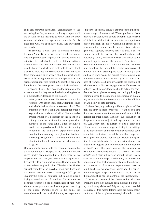gant can motivate substantial abandonment of this anchoring lore.Only when such a theory is in place will we be able, for the first time, to *know what we mean* when we talk about 'the experiences themselves'as distinct from what we each, subjectively, take our experiences to be.

This sketches a clear path to settling the issue between A and B, or to discovering good reasons for declaring the question ill-posed.If Chalmers thinks that scientists do, and should, prefer a different attitude towards such questions, he should describe in some detail what it is and why it is preferable. In fact, I think that while there has been some confusion on this score (and some spinning of wheels about just what would count as favouring unconscious perception over conscious perception with forgetting), scientists are comfortable with the heterophenomenological standards.

Varela and Shear (1999) describe the empathy of the experimenter that they see as the distinguishing feature of a method they describe as first-person:

In fact, that is how he sees his role: as an empathic resonator with experiences that are familiar to him and which find in himself a resonant chord. This empathic position is still partly heterophenomenological,since a modicum of critical distance and of critical evaluation is necessary, but the intention is entirely other: to meet on the same ground, as members of the same kind.... Such encounters would not be possible without the mediator being steeped in the domain of experiences under examination,as nothing can replace that first-hand knowledge. This, then, is a radically different style of validation from the others we have discussed so far (p. 10).

One can hardly quarrel with the recommendation that the experimenter be 'steeped in the domain of experiences' under examination, but is there more to this empathy than just good,knowledgeable interpretation? If so,what is it? In a supporting paper,Thompson speaks of 'sensual empathy,' and opines:'Clearly, for this kind of sensual empathy to be possible, one's own body and the Other's body must be of a similar type' (2001,p.33). This may be clear to Thompson, but in fact it raises a highly contentious set of questions: Can women not conduct research on the consciousness of men? Can slender investigators not explore the phenomenology of the obese? Perhaps more to the point, can researchers with no musical training or experience

('tin ears') effectively conduct experiments on the phenomenology of musicians? When guidance from experts is available, one should certainly avail oneself of it, but the claim that one must *be* an expert (an expert musician, an expert woman, an expert obese person) before conducting the research is an extravagant one. Suppose, however, that it is true. If so, we should be able to discover this by attempting, and detectably failing,to conduct the research as well as the relevant experts conduct the research. *That* discovery would itself be something that could only be made by first adopting the neutral heterophenomenological method and then assaying the results in comparison studies. So once again, the neutral course to pursue is not to *assume* that men can't investigate the consciousness of women, etc., but to investigate the question of whether we can discover any good scientific reason to believe this. If we can, then we should adjust the standards of heterophenomenology accordingly. It is just common sense to design one's experiments in such a way as to minimize interference and maximize efficiency and acuity of data-gathering.

Is there, then, any 'radically different style of validation' on offer in these proposals? I cannot find any. Some are uneasy about the noncommital stance of the heterophenomenologist. Wouldn't the cultivation of deep trust between subject and experimenter be better? Apparently not. The history of *folie à deux* and Clever Hans phenomena suggests that quite unwittingly the experimenter and the subject may reinforce each other into artifactual mutual beliefs that evaporate when properly probed. But we can explore the question. It is certainly wise for the experimenter not to antagonize subjects, and to encourage an atmosphere of 'trust'—note the scare quotes. The question is whether experimenters should go beyond this and *actually trust* their subjects, or should instead (as in standard experimental practice) quietly erect the usual barriers and foils that keep subjects from too intimate an appreciation of what the experimenters have in mind. Trust is a two-way street, surely, and the experimenter who gets in a position where the subject can do the manipulating has lost control of the investigation.

I suspect that some of the dissatisfaction with heterophenomenology that has been expressed is due to my not having elaborated fully enough the potential resources of this methodology. There are surely many subtleties of heterophenomenological method that